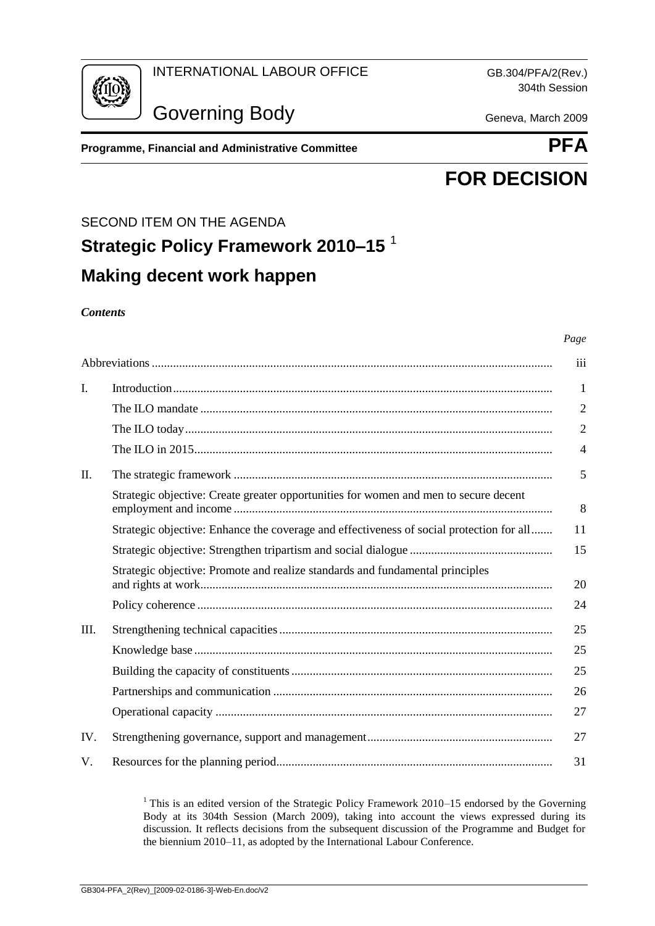

304th Session



Governing Body Geneva, March 2009

**Programme, Financial and Administrative Committee <b>PFA** 



*Page*

# **FOR DECISION**

## SECOND ITEM ON THE AGENDA

# **Strategic Policy Framework 2010–15** <sup>1</sup> **Making decent work happen**

#### *Contents*

|     |                                                                                          | iii            |
|-----|------------------------------------------------------------------------------------------|----------------|
| I.  |                                                                                          | 1              |
|     |                                                                                          | $\overline{2}$ |
|     |                                                                                          | $\overline{2}$ |
|     |                                                                                          | 4              |
| Π.  |                                                                                          | 5              |
|     | Strategic objective: Create greater opportunities for women and men to secure decent     | 8              |
|     | Strategic objective: Enhance the coverage and effectiveness of social protection for all | 11             |
|     |                                                                                          | 15             |
|     | Strategic objective: Promote and realize standards and fundamental principles            | 20             |
|     |                                                                                          | 24             |
| Ш.  |                                                                                          | 25             |
|     |                                                                                          | 25             |
|     |                                                                                          | 25             |
|     |                                                                                          | 26             |
|     |                                                                                          | 27             |
| IV. |                                                                                          | 27             |
| V.  |                                                                                          | 31             |

<sup>1</sup> This is an edited version of the Strategic Policy Framework 2010–15 endorsed by the Governing Body at its 304th Session (March 2009), taking into account the views expressed during its discussion. It reflects decisions from the subsequent discussion of the Programme and Budget for the biennium 2010–11, as adopted by the International Labour Conference.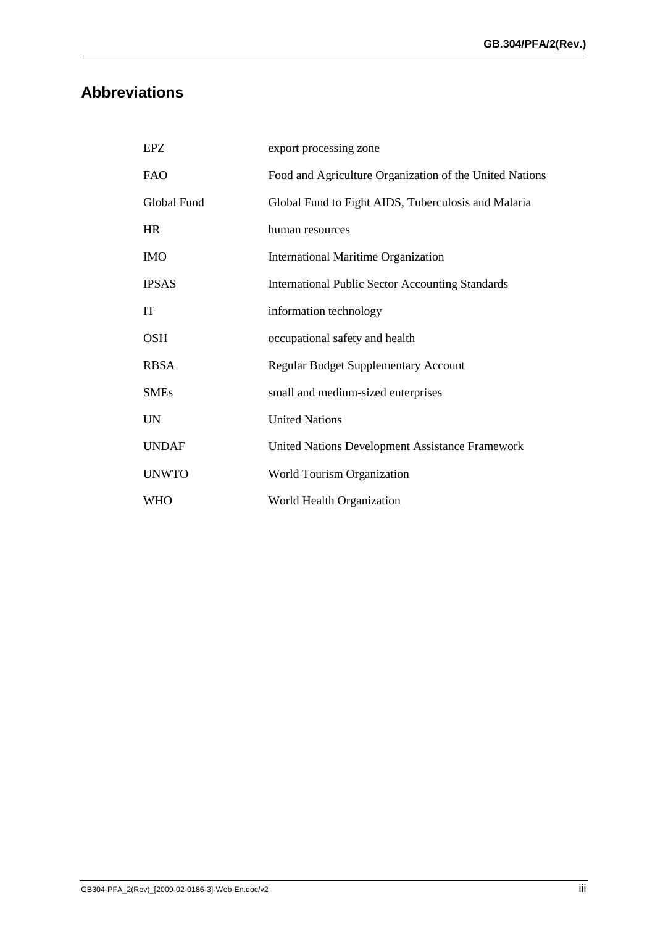# **Abbreviations**

| EPZ          | export processing zone                                  |
|--------------|---------------------------------------------------------|
| <b>FAO</b>   | Food and Agriculture Organization of the United Nations |
| Global Fund  | Global Fund to Fight AIDS, Tuberculosis and Malaria     |
| <b>HR</b>    | human resources                                         |
| <b>IMO</b>   | International Maritime Organization                     |
| <b>IPSAS</b> | <b>International Public Sector Accounting Standards</b> |
| IT           | information technology                                  |
| <b>OSH</b>   | occupational safety and health                          |
| <b>RBSA</b>  | <b>Regular Budget Supplementary Account</b>             |
| <b>SMEs</b>  | small and medium-sized enterprises                      |
| <b>UN</b>    | <b>United Nations</b>                                   |
| <b>UNDAF</b> | United Nations Development Assistance Framework         |
| <b>UNWTO</b> | World Tourism Organization                              |
| <b>WHO</b>   | World Health Organization                               |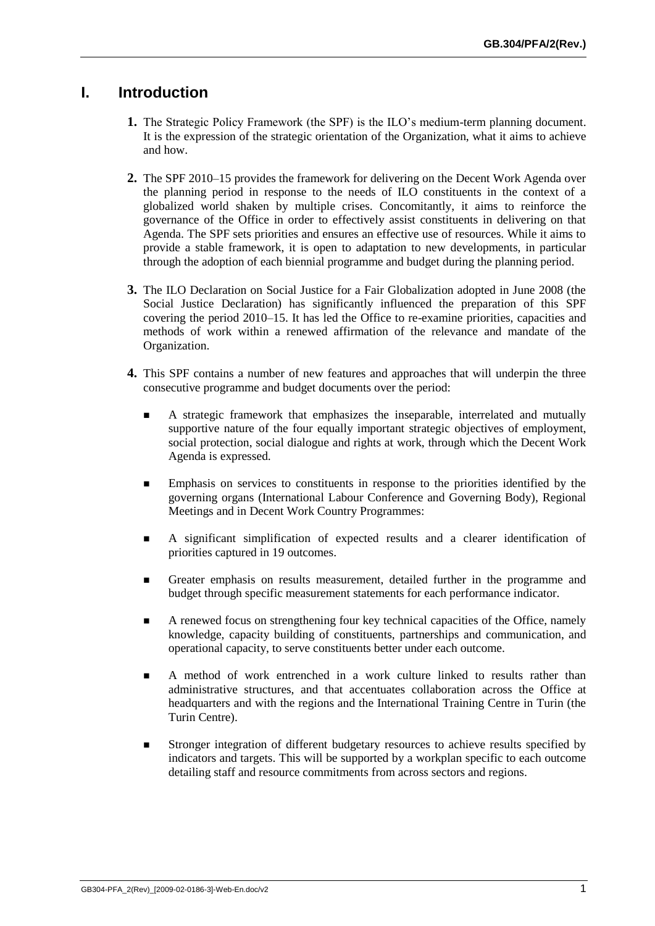# <span id="page-2-0"></span>**I. Introduction**

- **1.** The Strategic Policy Framework (the SPF) is the ILO's medium-term planning document. It is the expression of the strategic orientation of the Organization, what it aims to achieve and how.
- **2.** The SPF 2010–15 provides the framework for delivering on the Decent Work Agenda over the planning period in response to the needs of ILO constituents in the context of a globalized world shaken by multiple crises. Concomitantly, it aims to reinforce the governance of the Office in order to effectively assist constituents in delivering on that Agenda. The SPF sets priorities and ensures an effective use of resources. While it aims to provide a stable framework, it is open to adaptation to new developments, in particular through the adoption of each biennial programme and budget during the planning period.
- **3.** The ILO Declaration on Social Justice for a Fair Globalization adopted in June 2008 (the Social Justice Declaration) has significantly influenced the preparation of this SPF covering the period 2010–15. It has led the Office to re-examine priorities, capacities and methods of work within a renewed affirmation of the relevance and mandate of the Organization.
- **4.** This SPF contains a number of new features and approaches that will underpin the three consecutive programme and budget documents over the period:
	- A strategic framework that emphasizes the inseparable, interrelated and mutually supportive nature of the four equally important strategic objectives of employment, social protection, social dialogue and rights at work, through which the Decent Work Agenda is expressed.
	- Emphasis on services to constituents in response to the priorities identified by the governing organs (International Labour Conference and Governing Body), Regional Meetings and in Decent Work Country Programmes:
	- A significant simplification of expected results and a clearer identification of priorities captured in 19 outcomes.
	- Greater emphasis on results measurement, detailed further in the programme and budget through specific measurement statements for each performance indicator.
	- A renewed focus on strengthening four key technical capacities of the Office, namely knowledge, capacity building of constituents, partnerships and communication, and operational capacity, to serve constituents better under each outcome.
	- A method of work entrenched in a work culture linked to results rather than administrative structures, and that accentuates collaboration across the Office at headquarters and with the regions and the International Training Centre in Turin (the Turin Centre).
	- **Stronger integration of different budgetary resources to achieve results specified by** indicators and targets. This will be supported by a workplan specific to each outcome detailing staff and resource commitments from across sectors and regions.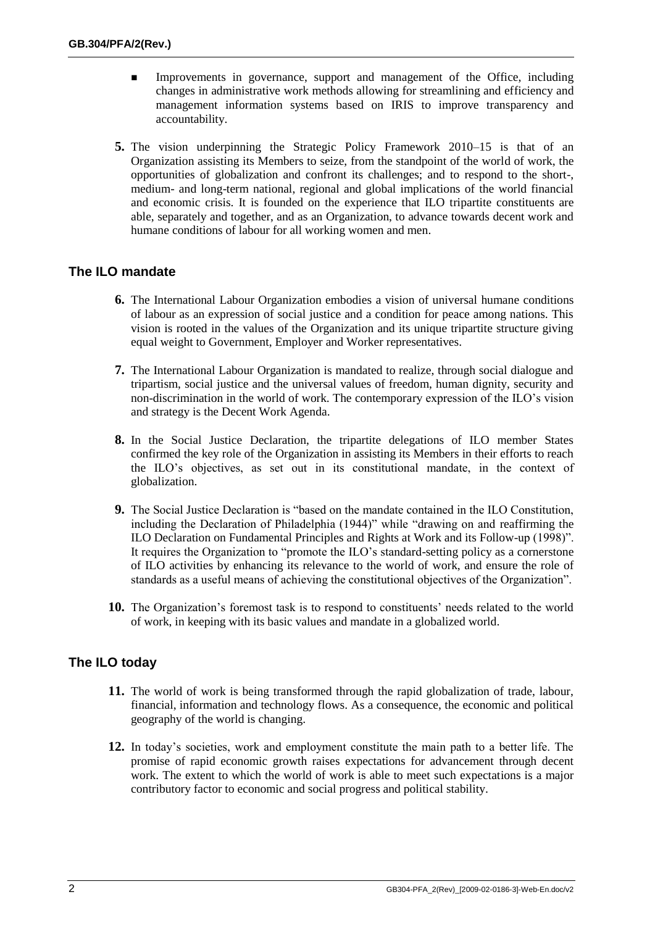- Improvements in governance, support and management of the Office, including changes in administrative work methods allowing for streamlining and efficiency and management information systems based on IRIS to improve transparency and accountability.
- **5.** The vision underpinning the Strategic Policy Framework 2010–15 is that of an Organization assisting its Members to seize, from the standpoint of the world of work, the opportunities of globalization and confront its challenges; and to respond to the short-, medium- and long-term national, regional and global implications of the world financial and economic crisis. It is founded on the experience that ILO tripartite constituents are able, separately and together, and as an Organization, to advance towards decent work and humane conditions of labour for all working women and men.

#### **The ILO mandate**

- **6.** The International Labour Organization embodies a vision of universal humane conditions of labour as an expression of social justice and a condition for peace among nations. This vision is rooted in the values of the Organization and its unique tripartite structure giving equal weight to Government, Employer and Worker representatives.
- **7.** The International Labour Organization is mandated to realize, through social dialogue and tripartism, social justice and the universal values of freedom, human dignity, security and non-discrimination in the world of work. The contemporary expression of the ILO's vision and strategy is the Decent Work Agenda.
- **8.** In the Social Justice Declaration, the tripartite delegations of ILO member States confirmed the key role of the Organization in assisting its Members in their efforts to reach the ILO's objectives, as set out in its constitutional mandate, in the context of globalization.
- **9.** The Social Justice Declaration is "based on the mandate contained in the ILO Constitution, including the Declaration of Philadelphia (1944)" while "drawing on and reaffirming the ILO Declaration on Fundamental Principles and Rights at Work and its Follow-up (1998)". It requires the Organization to "promote the ILO's standard-setting policy as a cornerstone of ILO activities by enhancing its relevance to the world of work, and ensure the role of standards as a useful means of achieving the constitutional objectives of the Organization".
- **10.** The Organization's foremost task is to respond to constituents' needs related to the world of work, in keeping with its basic values and mandate in a globalized world.

#### **The ILO today**

- **11.** The world of work is being transformed through the rapid globalization of trade, labour, financial, information and technology flows. As a consequence, the economic and political geography of the world is changing.
- **12.** In today's societies, work and employment constitute the main path to a better life. The promise of rapid economic growth raises expectations for advancement through decent work. The extent to which the world of work is able to meet such expectations is a major contributory factor to economic and social progress and political stability.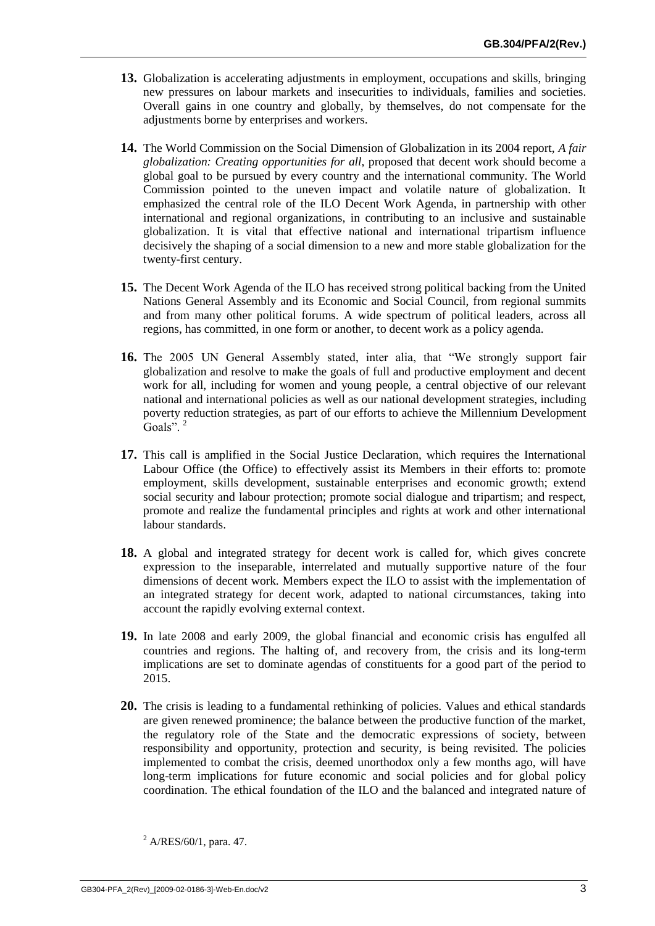- <span id="page-4-0"></span>**13.** Globalization is accelerating adjustments in employment, occupations and skills, bringing new pressures on labour markets and insecurities to individuals, families and societies. Overall gains in one country and globally, by themselves, do not compensate for the adjustments borne by enterprises and workers.
- **14.** The World Commission on the Social Dimension of Globalization in its 2004 report, *A fair globalization: Creating opportunities for all*, proposed that decent work should become a global goal to be pursued by every country and the international community. The World Commission pointed to the uneven impact and volatile nature of globalization. It emphasized the central role of the ILO Decent Work Agenda, in partnership with other international and regional organizations, in contributing to an inclusive and sustainable globalization. It is vital that effective national and international tripartism influence decisively the shaping of a social dimension to a new and more stable globalization for the twenty-first century.
- **15.** The Decent Work Agenda of the ILO has received strong political backing from the United Nations General Assembly and its Economic and Social Council, from regional summits and from many other political forums. A wide spectrum of political leaders, across all regions, has committed, in one form or another, to decent work as a policy agenda.
- **16.** The 2005 UN General Assembly stated, inter alia, that "We strongly support fair globalization and resolve to make the goals of full and productive employment and decent work for all, including for women and young people, a central objective of our relevant national and international policies as well as our national development strategies, including poverty reduction strategies, as part of our efforts to achieve the Millennium Development Goals".<sup>2</sup>
- **17.** This call is amplified in the Social Justice Declaration, which requires the International Labour Office (the Office) to effectively assist its Members in their efforts to: promote employment, skills development, sustainable enterprises and economic growth; extend social security and labour protection; promote social dialogue and tripartism; and respect, promote and realize the fundamental principles and rights at work and other international labour standards.
- **18.** A global and integrated strategy for decent work is called for, which gives concrete expression to the inseparable, interrelated and mutually supportive nature of the four dimensions of decent work. Members expect the ILO to assist with the implementation of an integrated strategy for decent work, adapted to national circumstances, taking into account the rapidly evolving external context.
- **19.** In late 2008 and early 2009, the global financial and economic crisis has engulfed all countries and regions. The halting of, and recovery from, the crisis and its long-term implications are set to dominate agendas of constituents for a good part of the period to 2015.
- **20.** The crisis is leading to a fundamental rethinking of policies. Values and ethical standards are given renewed prominence; the balance between the productive function of the market, the regulatory role of the State and the democratic expressions of society, between responsibility and opportunity, protection and security, is being revisited. The policies implemented to combat the crisis, deemed unorthodox only a few months ago, will have long-term implications for future economic and social policies and for global policy coordination. The ethical foundation of the ILO and the balanced and integrated nature of

 $^{2}$  A/RES/60/1, para. 47.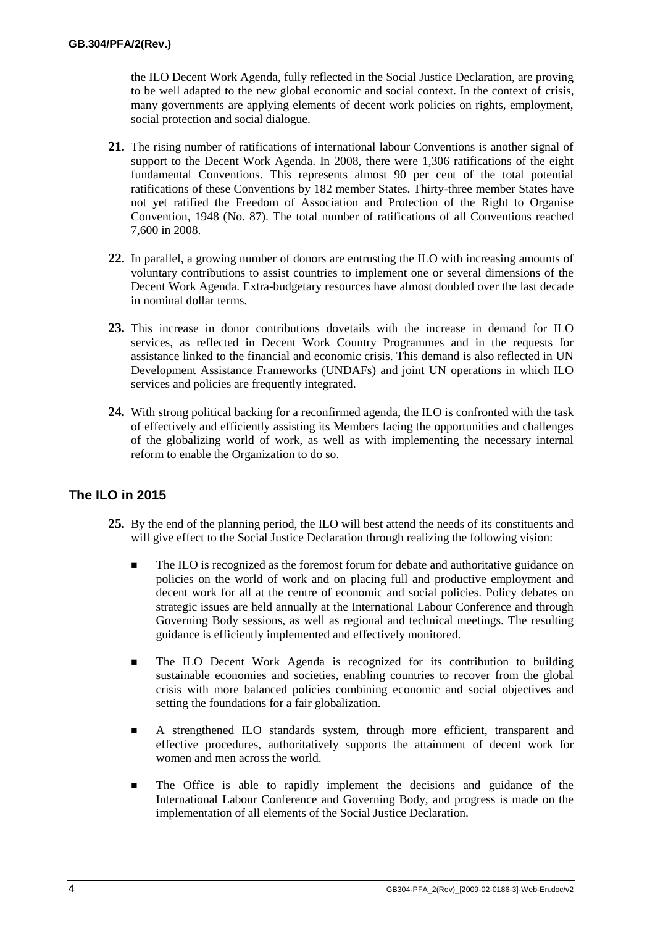the ILO Decent Work Agenda, fully reflected in the Social Justice Declaration, are proving to be well adapted to the new global economic and social context. In the context of crisis, many governments are applying elements of decent work policies on rights, employment, social protection and social dialogue.

- **21.** The rising number of ratifications of international labour Conventions is another signal of support to the Decent Work Agenda. In 2008, there were 1,306 ratifications of the eight fundamental Conventions. This represents almost 90 per cent of the total potential ratifications of these Conventions by 182 member States. Thirty-three member States have not yet ratified the Freedom of Association and Protection of the Right to Organise Convention, 1948 (No. 87). The total number of ratifications of all Conventions reached 7,600 in 2008.
- <span id="page-5-0"></span>**22.** In parallel, a growing number of donors are entrusting the ILO with increasing amounts of voluntary contributions to assist countries to implement one or several dimensions of the Decent Work Agenda. Extra-budgetary resources have almost doubled over the last decade in nominal dollar terms.
- **23.** This increase in donor contributions dovetails with the increase in demand for ILO services, as reflected in Decent Work Country Programmes and in the requests for assistance linked to the financial and economic crisis. This demand is also reflected in UN Development Assistance Frameworks (UNDAFs) and joint UN operations in which ILO services and policies are frequently integrated.
- **24.** With strong political backing for a reconfirmed agenda, the ILO is confronted with the task of effectively and efficiently assisting its Members facing the opportunities and challenges of the globalizing world of work, as well as with implementing the necessary internal reform to enable the Organization to do so.

## **The ILO in 2015**

- <span id="page-5-1"></span>**25.** By the end of the planning period, the ILO will best attend the needs of its constituents and will give effect to the Social Justice Declaration through realizing the following vision:
	- The ILO is recognized as the foremost forum for debate and authoritative guidance on policies on the world of work and on placing full and productive employment and decent work for all at the centre of economic and social policies. Policy debates on strategic issues are held annually at the International Labour Conference and through Governing Body sessions, as well as regional and technical meetings. The resulting guidance is efficiently implemented and effectively monitored.
	- **The ILO Decent Work Agenda is recognized for its contribution to building** sustainable economies and societies, enabling countries to recover from the global crisis with more balanced policies combining economic and social objectives and setting the foundations for a fair globalization.
	- A strengthened ILO standards system, through more efficient, transparent and effective procedures, authoritatively supports the attainment of decent work for women and men across the world.
	- **The Office is able to rapidly implement the decisions and guidance of the** International Labour Conference and Governing Body, and progress is made on the implementation of all elements of the Social Justice Declaration.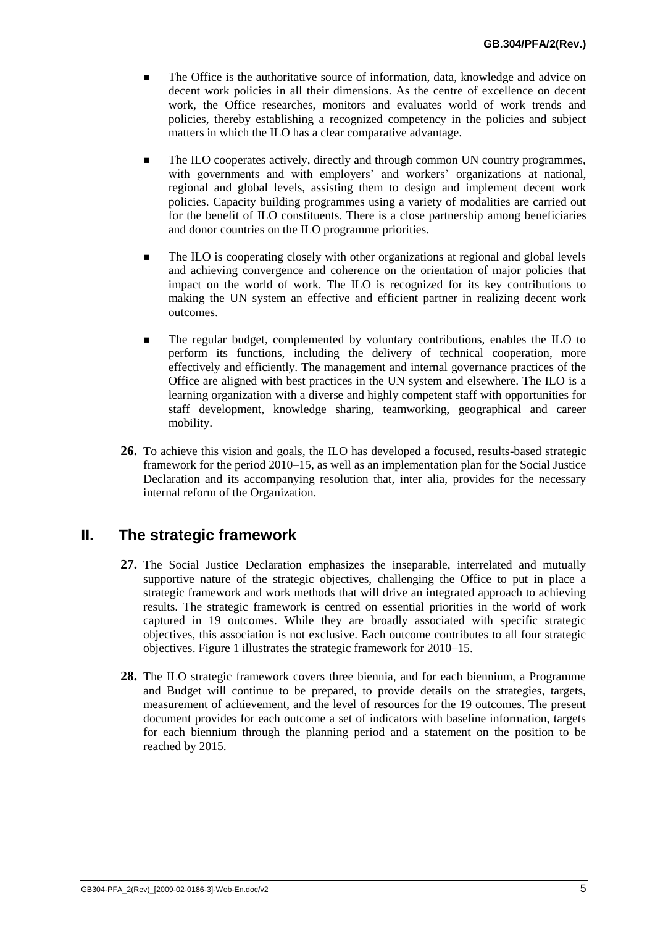- **The Office is the authoritative source of information, data, knowledge and advice on** decent work policies in all their dimensions. As the centre of excellence on decent work, the Office researches, monitors and evaluates world of work trends and policies, thereby establishing a recognized competency in the policies and subject matters in which the ILO has a clear comparative advantage.
- The ILO cooperates actively, directly and through common UN country programmes, with governments and with employers' and workers' organizations at national, regional and global levels, assisting them to design and implement decent work policies. Capacity building programmes using a variety of modalities are carried out for the benefit of ILO constituents. There is a close partnership among beneficiaries and donor countries on the ILO programme priorities.
- The ILO is cooperating closely with other organizations at regional and global levels and achieving convergence and coherence on the orientation of major policies that impact on the world of work. The ILO is recognized for its key contributions to making the UN system an effective and efficient partner in realizing decent work outcomes.
- The regular budget, complemented by voluntary contributions, enables the ILO to perform its functions, including the delivery of technical cooperation, more effectively and efficiently. The management and internal governance practices of the Office are aligned with best practices in the UN system and elsewhere. The ILO is a learning organization with a diverse and highly competent staff with opportunities for staff development, knowledge sharing, teamworking, geographical and career mobility.
- **26.** To achieve this vision and goals, the ILO has developed a focused, results-based strategic framework for the period 2010–15, as well as an implementation plan for the Social Justice Declaration and its accompanying resolution that, inter alia, provides for the necessary internal reform of the Organization.

## **II. The strategic framework**

- **27.** The Social Justice Declaration emphasizes the inseparable, interrelated and mutually supportive nature of the strategic objectives, challenging the Office to put in place a strategic framework and work methods that will drive an integrated approach to achieving results. The strategic framework is centred on essential priorities in the world of work captured in 19 outcomes. While they are broadly associated with specific strategic objectives, this association is not exclusive. Each outcome contributes to all four strategic objectives. Figure 1 illustrates the strategic framework for 2010–15.
- **28.** The ILO strategic framework covers three biennia, and for each biennium, a Programme and Budget will continue to be prepared, to provide details on the strategies, targets, measurement of achievement, and the level of resources for the 19 outcomes. The present document provides for each outcome a set of indicators with baseline information, targets for each biennium through the planning period and a statement on the position to be reached by 2015.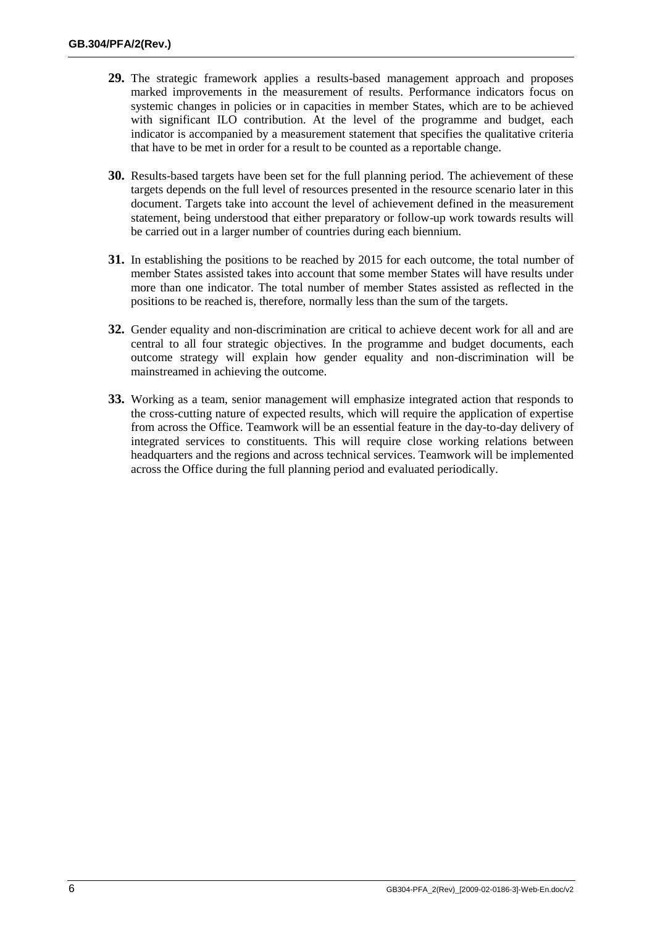- **29.** The strategic framework applies a results-based management approach and proposes marked improvements in the measurement of results. Performance indicators focus on systemic changes in policies or in capacities in member States, which are to be achieved with significant ILO contribution. At the level of the programme and budget, each indicator is accompanied by a measurement statement that specifies the qualitative criteria that have to be met in order for a result to be counted as a reportable change.
- **30.** Results-based targets have been set for the full planning period. The achievement of these targets depends on the full level of resources presented in the resource scenario later in this document. Targets take into account the level of achievement defined in the measurement statement, being understood that either preparatory or follow-up work towards results will be carried out in a larger number of countries during each biennium.
- **31.** In establishing the positions to be reached by 2015 for each outcome, the total number of member States assisted takes into account that some member States will have results under more than one indicator. The total number of member States assisted as reflected in the positions to be reached is, therefore, normally less than the sum of the targets.
- **32.** Gender equality and non-discrimination are critical to achieve decent work for all and are central to all four strategic objectives. In the programme and budget documents, each outcome strategy will explain how gender equality and non-discrimination will be mainstreamed in achieving the outcome.
- <span id="page-7-0"></span>**33.** Working as a team, senior management will emphasize integrated action that responds to the cross-cutting nature of expected results, which will require the application of expertise from across the Office. Teamwork will be an essential feature in the day-to-day delivery of integrated services to constituents. This will require close working relations between headquarters and the regions and across technical services. Teamwork will be implemented across the Office during the full planning period and evaluated periodically.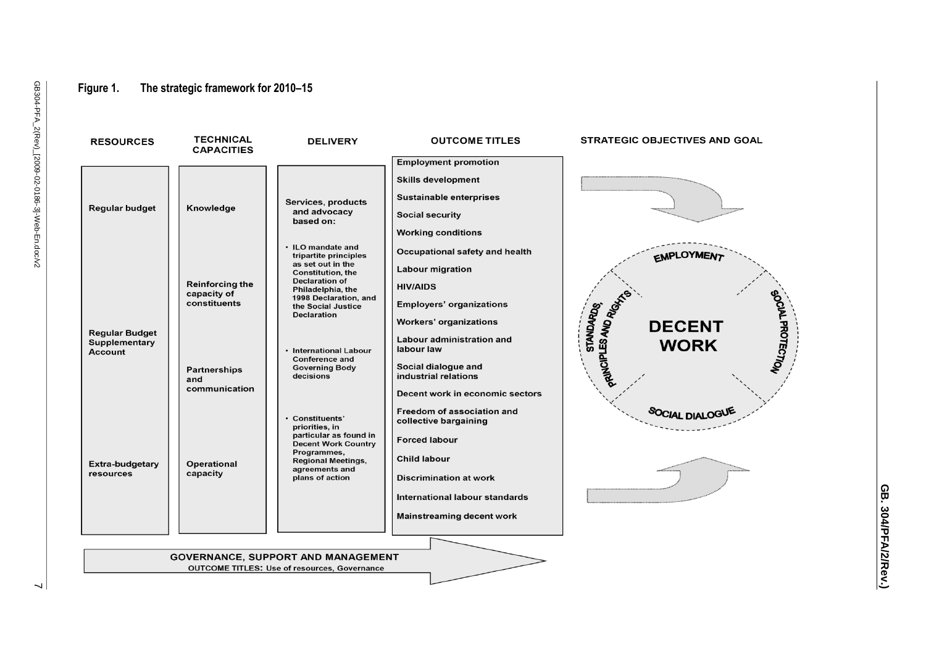#### **Figure 1. The strategic framework for 2010 –15**

**RESOURCES** 

**TECHNICAL** 

**DELIVERY** 

| i                                    |  |
|--------------------------------------|--|
| ì                                    |  |
| י<br>ג<br>ξ<br>;<br>;<br>;<br>ı<br>ı |  |

| <b>Employment promotion</b><br><b>Skills development</b><br><b>Sustainable enterprises</b><br>Services, products<br>Knowledge<br><b>Regular budget</b><br>and advocacy<br><b>Social security</b><br>based on:<br><b>Working conditions</b><br>• ILO mandate and<br>Occupational safety and health<br><b>EMPLOYMENT</b><br>tripartite principles<br>as set out in the<br><b>Labour migration</b><br><b>Constitution, the</b><br><b>Declaration of</b><br><b>Reinforcing the</b><br><b>HIV/AIDS</b><br>Philadelphia, the<br>capacity of<br>PRINCIPLES AND RIGHT<br><b>OCIAL PROTECTION</b><br>1998 Declaration, and<br>constituents<br><b>Employers' organizations</b><br><b>STANDARDS</b><br>the Social Justice<br><b>Declaration</b><br><b>Workers' organizations</b><br><b>DECENT</b><br><b>Regular Budget</b><br>Labour administration and<br>Supplementary<br><b>WORK</b><br>labour law<br>• International Labour<br><b>Account</b><br><b>Conference and</b><br>Social dialogue and<br><b>Governing Body</b><br><b>Partnerships</b><br>industrial relations<br>decisions<br>and<br>communication<br>Decent work in economic sectors<br>Freedom of association and<br><b>SOCIAL DIALOG</b><br>• Constituents'<br>collective bargaining<br>priorities, in<br>particular as found in<br><b>Forced labour</b><br><b>Decent Work Country</b><br>Programmes,<br><b>Child labour</b><br><b>Regional Meetings,</b><br>Operational<br>Extra-budgetary<br>agreements and<br>capacity<br>resources<br>plans of action<br><b>Discrimination at work</b><br>International labour standards<br><b>Mainstreaming decent work</b><br><b>GOVERNANCE, SUPPORT AND MANAGEMENT</b><br><b>OUTCOME TITLES: Use of resources, Governance</b> | <b>CAPACITIES</b> |  |  |
|--------------------------------------------------------------------------------------------------------------------------------------------------------------------------------------------------------------------------------------------------------------------------------------------------------------------------------------------------------------------------------------------------------------------------------------------------------------------------------------------------------------------------------------------------------------------------------------------------------------------------------------------------------------------------------------------------------------------------------------------------------------------------------------------------------------------------------------------------------------------------------------------------------------------------------------------------------------------------------------------------------------------------------------------------------------------------------------------------------------------------------------------------------------------------------------------------------------------------------------------------------------------------------------------------------------------------------------------------------------------------------------------------------------------------------------------------------------------------------------------------------------------------------------------------------------------------------------------------------------------------------------------------------------------------------------------------------------------------|-------------------|--|--|
|                                                                                                                                                                                                                                                                                                                                                                                                                                                                                                                                                                                                                                                                                                                                                                                                                                                                                                                                                                                                                                                                                                                                                                                                                                                                                                                                                                                                                                                                                                                                                                                                                                                                                                                          |                   |  |  |
|                                                                                                                                                                                                                                                                                                                                                                                                                                                                                                                                                                                                                                                                                                                                                                                                                                                                                                                                                                                                                                                                                                                                                                                                                                                                                                                                                                                                                                                                                                                                                                                                                                                                                                                          |                   |  |  |
|                                                                                                                                                                                                                                                                                                                                                                                                                                                                                                                                                                                                                                                                                                                                                                                                                                                                                                                                                                                                                                                                                                                                                                                                                                                                                                                                                                                                                                                                                                                                                                                                                                                                                                                          |                   |  |  |
|                                                                                                                                                                                                                                                                                                                                                                                                                                                                                                                                                                                                                                                                                                                                                                                                                                                                                                                                                                                                                                                                                                                                                                                                                                                                                                                                                                                                                                                                                                                                                                                                                                                                                                                          |                   |  |  |
|                                                                                                                                                                                                                                                                                                                                                                                                                                                                                                                                                                                                                                                                                                                                                                                                                                                                                                                                                                                                                                                                                                                                                                                                                                                                                                                                                                                                                                                                                                                                                                                                                                                                                                                          |                   |  |  |

**OUTCOME TITLES** 

**STRATEGIC OBJECTIVES AND GOAL** 

GB. 304/PFA/2/Rev.) **GB. 304/PFA/2/Rev.)**

<span id="page-8-0"></span> $\overline{\phantom{0}}$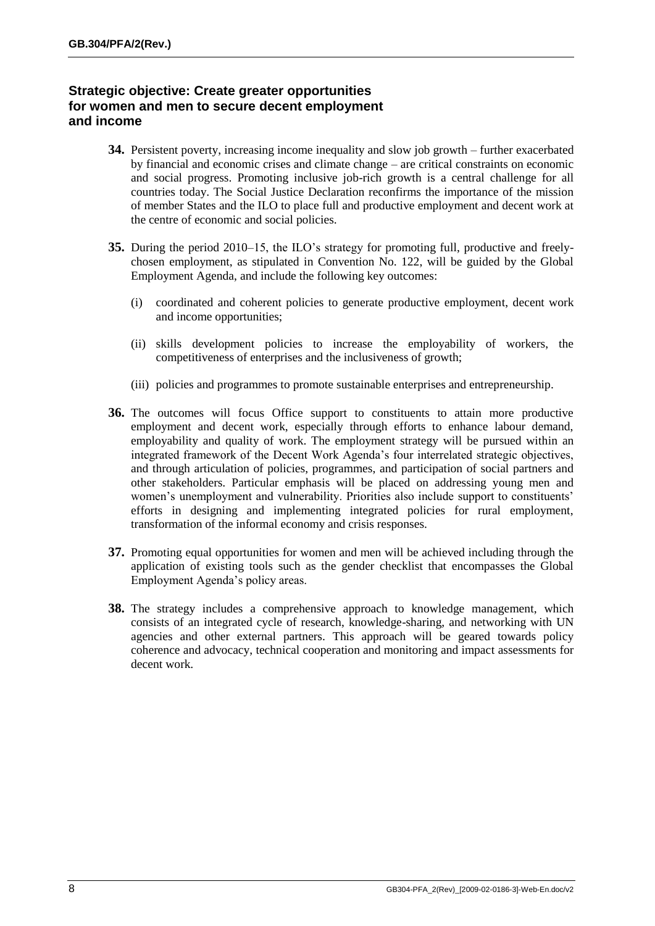#### **Strategic objective: Create greater opportunities for women and men to secure decent employment and income**

- **34.** Persistent poverty, increasing income inequality and slow job growth further exacerbated by financial and economic crises and climate change – are critical constraints on economic and social progress. Promoting inclusive job-rich growth is a central challenge for all countries today. The Social Justice Declaration reconfirms the importance of the mission of member States and the ILO to place full and productive employment and decent work at the centre of economic and social policies.
- **35.** During the period 2010–15, the ILO's strategy for promoting full, productive and freelychosen employment, as stipulated in Convention No. 122, will be guided by the Global Employment Agenda, and include the following key outcomes:
	- (i) coordinated and coherent policies to generate productive employment, decent work and income opportunities;
	- (ii) skills development policies to increase the employability of workers, the competitiveness of enterprises and the inclusiveness of growth;
	- (iii) policies and programmes to promote sustainable enterprises and entrepreneurship.
- **36.** The outcomes will focus Office support to constituents to attain more productive employment and decent work, especially through efforts to enhance labour demand, employability and quality of work. The employment strategy will be pursued within an integrated framework of the Decent Work Agenda's four interrelated strategic objectives, and through articulation of policies, programmes, and participation of social partners and other stakeholders. Particular emphasis will be placed on addressing young men and women's unemployment and vulnerability. Priorities also include support to constituents' efforts in designing and implementing integrated policies for rural employment, transformation of the informal economy and crisis responses.
- **37.** Promoting equal opportunities for women and men will be achieved including through the application of existing tools such as the gender checklist that encompasses the Global Employment Agenda's policy areas.
- **38.** The strategy includes a comprehensive approach to knowledge management, which consists of an integrated cycle of research, knowledge-sharing, and networking with UN agencies and other external partners. This approach will be geared towards policy coherence and advocacy, technical cooperation and monitoring and impact assessments for decent work.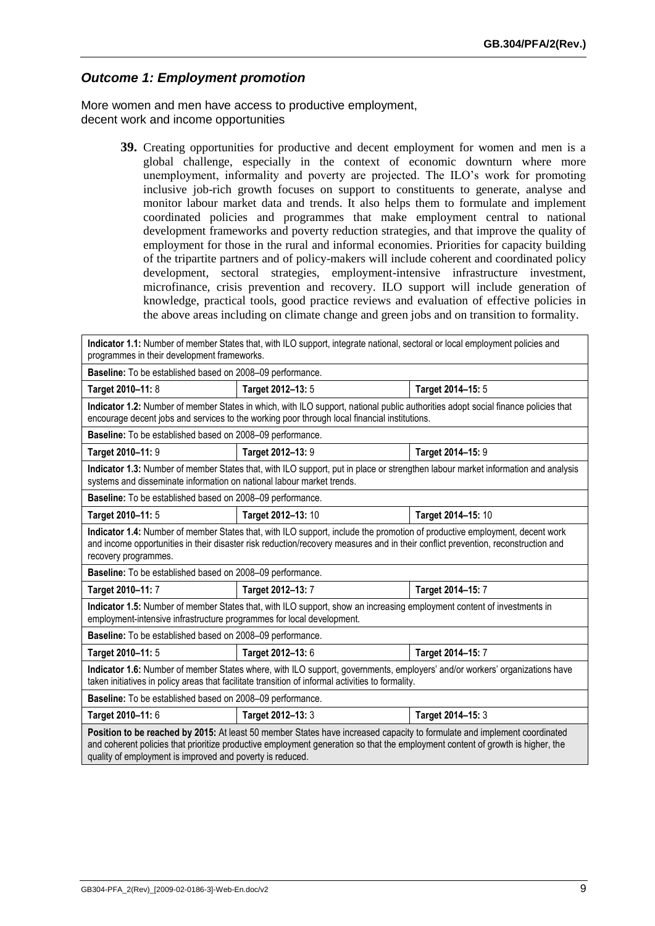#### *Outcome 1: Employment promotion*

More women and men have access to productive employment, decent work and income opportunities

> **39.** Creating opportunities for productive and decent employment for women and men is a global challenge, especially in the context of economic downturn where more unemployment, informality and poverty are projected. The ILO's work for promoting inclusive job-rich growth focuses on support to constituents to generate, analyse and monitor labour market data and trends. It also helps them to formulate and implement coordinated policies and programmes that make employment central to national development frameworks and poverty reduction strategies, and that improve the quality of employment for those in the rural and informal economies. Priorities for capacity building of the tripartite partners and of policy-makers will include coherent and coordinated policy development, sectoral strategies, employment-intensive infrastructure investment, microfinance, crisis prevention and recovery. ILO support will include generation of knowledge, practical tools, good practice reviews and evaluation of effective policies in the above areas including on climate change and green jobs and on transition to formality.

| Indicator 1.1: Number of member States that, with ILO support, integrate national, sectoral or local employment policies and<br>programmes in their development frameworks.                                                                                                                                             |                                                                                                                                                                                                                                   |                    |  |
|-------------------------------------------------------------------------------------------------------------------------------------------------------------------------------------------------------------------------------------------------------------------------------------------------------------------------|-----------------------------------------------------------------------------------------------------------------------------------------------------------------------------------------------------------------------------------|--------------------|--|
| Baseline: To be established based on 2008-09 performance.                                                                                                                                                                                                                                                               |                                                                                                                                                                                                                                   |                    |  |
| Target 2010-11: 8                                                                                                                                                                                                                                                                                                       | Target 2012-13: 5                                                                                                                                                                                                                 | Target 2014-15: 5  |  |
|                                                                                                                                                                                                                                                                                                                         | Indicator 1.2: Number of member States in which, with ILO support, national public authorities adopt social finance policies that<br>encourage decent jobs and services to the working poor through local financial institutions. |                    |  |
| Baseline: To be established based on 2008-09 performance.                                                                                                                                                                                                                                                               |                                                                                                                                                                                                                                   |                    |  |
| Target 2010-11: 9                                                                                                                                                                                                                                                                                                       | Target 2012-13: 9                                                                                                                                                                                                                 | Target 2014-15: 9  |  |
| systems and disseminate information on national labour market trends.                                                                                                                                                                                                                                                   | Indicator 1.3: Number of member States that, with ILO support, put in place or strengthen labour market information and analysis                                                                                                  |                    |  |
| Baseline: To be established based on 2008-09 performance.                                                                                                                                                                                                                                                               |                                                                                                                                                                                                                                   |                    |  |
| Target 2010-11: 5                                                                                                                                                                                                                                                                                                       | Target 2012-13: 10                                                                                                                                                                                                                | Target 2014-15: 10 |  |
| Indicator 1.4: Number of member States that, with ILO support, include the promotion of productive employment, decent work<br>and income opportunities in their disaster risk reduction/recovery measures and in their conflict prevention, reconstruction and<br>recovery programmes.                                  |                                                                                                                                                                                                                                   |                    |  |
| Baseline: To be established based on 2008-09 performance.                                                                                                                                                                                                                                                               |                                                                                                                                                                                                                                   |                    |  |
| Target 2012-13: 7<br>Target 2010-11: 7<br>Target 2014-15: 7                                                                                                                                                                                                                                                             |                                                                                                                                                                                                                                   |                    |  |
| Indicator 1.5: Number of member States that, with ILO support, show an increasing employment content of investments in<br>employment-intensive infrastructure programmes for local development.                                                                                                                         |                                                                                                                                                                                                                                   |                    |  |
| Baseline: To be established based on 2008-09 performance.                                                                                                                                                                                                                                                               |                                                                                                                                                                                                                                   |                    |  |
| Target 2010-11: 5                                                                                                                                                                                                                                                                                                       | Target 2012-13: 6                                                                                                                                                                                                                 | Target 2014-15: 7  |  |
| Indicator 1.6: Number of member States where, with ILO support, governments, employers' and/or workers' organizations have<br>taken initiatives in policy areas that facilitate transition of informal activities to formality.                                                                                         |                                                                                                                                                                                                                                   |                    |  |
| Baseline: To be established based on 2008-09 performance.                                                                                                                                                                                                                                                               |                                                                                                                                                                                                                                   |                    |  |
| Target 2012-13: 3<br>Target 2014-15: 3<br>Target 2010-11: 6                                                                                                                                                                                                                                                             |                                                                                                                                                                                                                                   |                    |  |
| Position to be reached by 2015: At least 50 member States have increased capacity to formulate and implement coordinated<br>and coherent policies that prioritize productive employment generation so that the employment content of growth is higher, the<br>quality of employment is improved and poverty is reduced. |                                                                                                                                                                                                                                   |                    |  |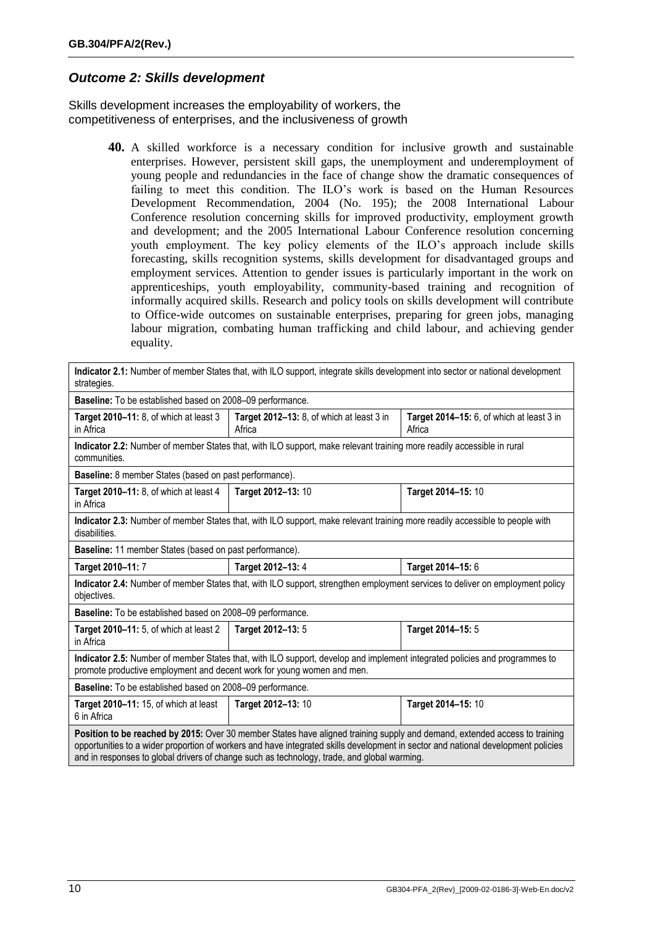#### <span id="page-11-0"></span>*Outcome 2: Skills development*

Skills development increases the employability of workers, the competitiveness of enterprises, and the inclusiveness of growth

> **40.** A skilled workforce is a necessary condition for inclusive growth and sustainable enterprises. However, persistent skill gaps, the unemployment and underemployment of young people and redundancies in the face of change show the dramatic consequences of failing to meet this condition. The ILO's work is based on the Human Resources Development Recommendation, 2004 (No. 195); the 2008 International Labour Conference resolution concerning skills for improved productivity, employment growth and development; and the 2005 International Labour Conference resolution concerning youth employment. The key policy elements of the ILO's approach include skills forecasting, skills recognition systems, skills development for disadvantaged groups and employment services. Attention to gender issues is particularly important in the work on apprenticeships, youth employability, community-based training and recognition of informally acquired skills. Research and policy tools on skills development will contribute to Office-wide outcomes on sustainable enterprises, preparing for green jobs, managing labour migration, combating human trafficking and child labour, and achieving gender equality.

**Indicator 2.1:** Number of member States that, with ILO support, integrate skills development into sector or national development strategies. **Baseline:** To be established based on 2008–09 performance. **Target 2010–11:** 8, of which at least 3 in Africa **Target 2012–13:** 8, of which at least 3 in Africa **Target 2014–15:** 6, of which at least 3 in Africa **Indicator 2.2:** Number of member States that, with ILO support, make relevant training more readily accessible in rural communities. **Baseline:** 8 member States (based on past performance). **Target 2010–11:** 8, of which at least 4 in Africa **Target 2012–13:** 10 **Target 2014–15:** 10 **Indicator 2.3:** Number of member States that, with ILO support, make relevant training more readily accessible to people with disabilities. **Baseline:** 11 member States (based on past performance). **Target 2010–11:** 7 **Target 2012–13:** 4 **Target 2014–15:** 6 **Indicator 2.4:** Number of member States that, with ILO support, strengthen employment services to deliver on employment policy objectives. **Baseline:** To be established based on 2008–09 performance. **Target 2010–11:** 5, of which at least 2 in Africa **Target 2012–13:** 5 **Target 2014–15:** 5 **Indicator 2.5:** Number of member States that, with ILO support, develop and implement integrated policies and programmes to promote productive employment and decent work for young women and men. **Baseline:** To be established based on 2008–09 performance. **Target 2010–11:** 15, of which at least 6 in Africa **Target 2012–13:** 10 **Target 2014–15:** 10 **Position to be reached by 2015:** Over 30 member States have aligned training supply and demand, extended access to training opportunities to a wider proportion of workers and have integrated skills development in sector and national development policies and in responses to global drivers of change such as technology, trade, and global warming.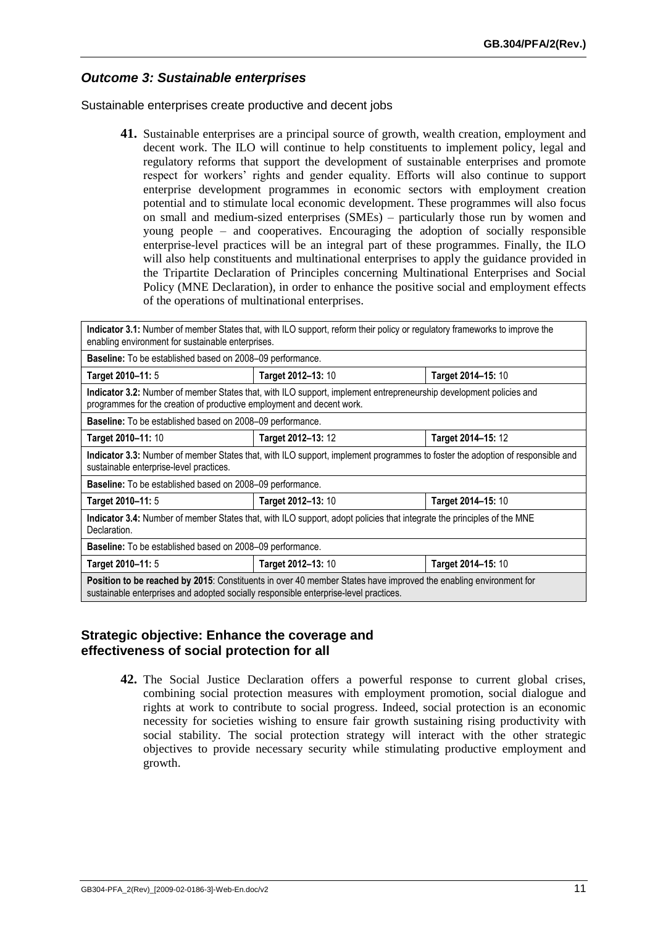#### *Outcome 3: Sustainable enterprises*

Sustainable enterprises create productive and decent jobs

**41.** Sustainable enterprises are a principal source of growth, wealth creation, employment and decent work. The ILO will continue to help constituents to implement policy, legal and regulatory reforms that support the development of sustainable enterprises and promote respect for workers' rights and gender equality. Efforts will also continue to support enterprise development programmes in economic sectors with employment creation potential and to stimulate local economic development. These programmes will also focus on small and medium-sized enterprises (SMEs) – particularly those run by women and young people – and cooperatives. Encouraging the adoption of socially responsible enterprise-level practices will be an integral part of these programmes. Finally, the ILO will also help constituents and multinational enterprises to apply the guidance provided in the Tripartite Declaration of Principles concerning Multinational Enterprises and Social Policy (MNE Declaration), in order to enhance the positive social and employment effects of the operations of multinational enterprises.

| Indicator 3.1: Number of member States that, with ILO support, reform their policy or regulatory frameworks to improve the<br>enabling environment for sustainable enterprises.                                 |                                                                                                                    |                    |  |  |
|-----------------------------------------------------------------------------------------------------------------------------------------------------------------------------------------------------------------|--------------------------------------------------------------------------------------------------------------------|--------------------|--|--|
| Baseline: To be established based on 2008-09 performance.                                                                                                                                                       |                                                                                                                    |                    |  |  |
| Target 2010-11: 5                                                                                                                                                                                               | Target 2012-13: 10                                                                                                 | Target 2014-15: 10 |  |  |
| programmes for the creation of productive employment and decent work.                                                                                                                                           | Indicator 3.2: Number of member States that, with ILO support, implement entrepreneurship development policies and |                    |  |  |
| <b>Baseline:</b> To be established based on 2008–09 performance.                                                                                                                                                |                                                                                                                    |                    |  |  |
| Target 2010-11: 10                                                                                                                                                                                              | Target 2014-15: 12<br>Target 2012-13: 12                                                                           |                    |  |  |
| Indicator 3.3: Number of member States that, with ILO support, implement programmes to foster the adoption of responsible and<br>sustainable enterprise-level practices.                                        |                                                                                                                    |                    |  |  |
| <b>Baseline:</b> To be established based on 2008–09 performance.                                                                                                                                                |                                                                                                                    |                    |  |  |
| Target 2012-13: 10<br>Target 2014-15: 10<br>Target 2010-11: 5                                                                                                                                                   |                                                                                                                    |                    |  |  |
| Indicator 3.4: Number of member States that, with ILO support, adopt policies that integrate the principles of the MNE<br>Declaration.                                                                          |                                                                                                                    |                    |  |  |
| <b>Baseline:</b> To be established based on 2008–09 performance.                                                                                                                                                |                                                                                                                    |                    |  |  |
| Target 2010-11: 5<br>Target 2012-13: 10<br>Target 2014–15: 10                                                                                                                                                   |                                                                                                                    |                    |  |  |
| <b>Position to be reached by 2015:</b> Constituents in over 40 member States have improved the enabling environment for<br>sustainable enterprises and adopted socially responsible enterprise-level practices. |                                                                                                                    |                    |  |  |

#### **Strategic objective: Enhance the coverage and effectiveness of social protection for all**

**42.** The Social Justice Declaration offers a powerful response to current global crises, combining social protection measures with employment promotion, social dialogue and rights at work to contribute to social progress. Indeed, social protection is an economic necessity for societies wishing to ensure fair growth sustaining rising productivity with social stability. The social protection strategy will interact with the other strategic objectives to provide necessary security while stimulating productive employment and growth.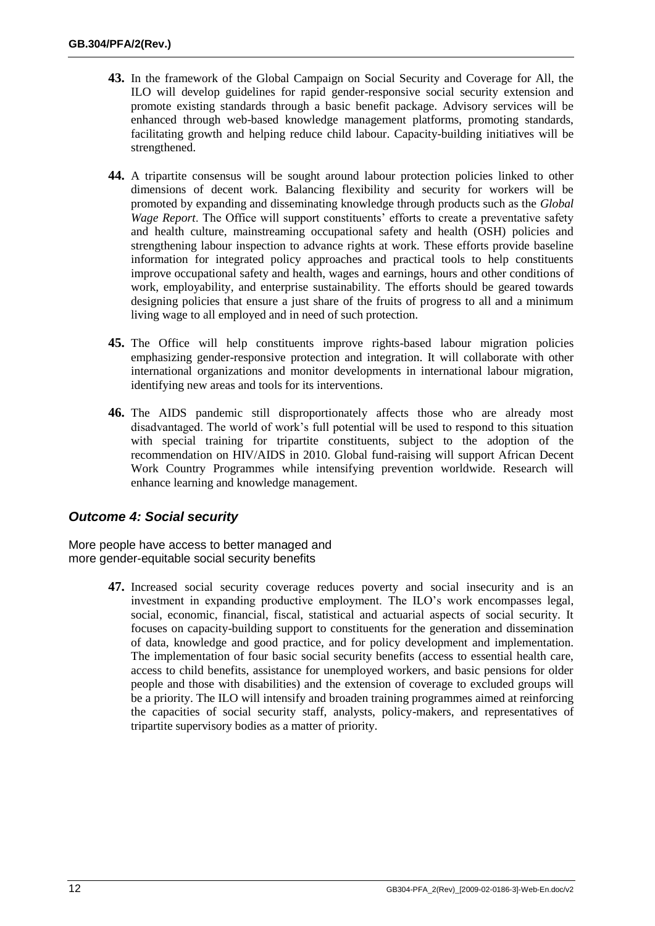- **43.** In the framework of the Global Campaign on Social Security and Coverage for All, the ILO will develop guidelines for rapid gender-responsive social security extension and promote existing standards through a basic benefit package. Advisory services will be enhanced through web-based knowledge management platforms, promoting standards, facilitating growth and helping reduce child labour. Capacity-building initiatives will be strengthened.
- **44.** A tripartite consensus will be sought around labour protection policies linked to other dimensions of decent work. Balancing flexibility and security for workers will be promoted by expanding and disseminating knowledge through products such as the *Global Wage Report*. The Office will support constituents' efforts to create a preventative safety and health culture, mainstreaming occupational safety and health (OSH) policies and strengthening labour inspection to advance rights at work. These efforts provide baseline information for integrated policy approaches and practical tools to help constituents improve occupational safety and health, wages and earnings, hours and other conditions of work, employability, and enterprise sustainability. The efforts should be geared towards designing policies that ensure a just share of the fruits of progress to all and a minimum living wage to all employed and in need of such protection.
- **45.** The Office will help constituents improve rights-based labour migration policies emphasizing gender-responsive protection and integration. It will collaborate with other international organizations and monitor developments in international labour migration, identifying new areas and tools for its interventions.
- **46.** The AIDS pandemic still disproportionately affects those who are already most disadvantaged. The world of work's full potential will be used to respond to this situation with special training for tripartite constituents, subject to the adoption of the recommendation on HIV/AIDS in 2010. Global fund-raising will support African Decent Work Country Programmes while intensifying prevention worldwide. Research will enhance learning and knowledge management.

#### *Outcome 4: Social security*

More people have access to better managed and more gender-equitable social security benefits

> **47.** Increased social security coverage reduces poverty and social insecurity and is an investment in expanding productive employment. The ILO's work encompasses legal, social, economic, financial, fiscal, statistical and actuarial aspects of social security. It focuses on capacity-building support to constituents for the generation and dissemination of data, knowledge and good practice, and for policy development and implementation. The implementation of four basic social security benefits (access to essential health care, access to child benefits, assistance for unemployed workers, and basic pensions for older people and those with disabilities) and the extension of coverage to excluded groups will be a priority. The ILO will intensify and broaden training programmes aimed at reinforcing the capacities of social security staff, analysts, policy-makers, and representatives of tripartite supervisory bodies as a matter of priority.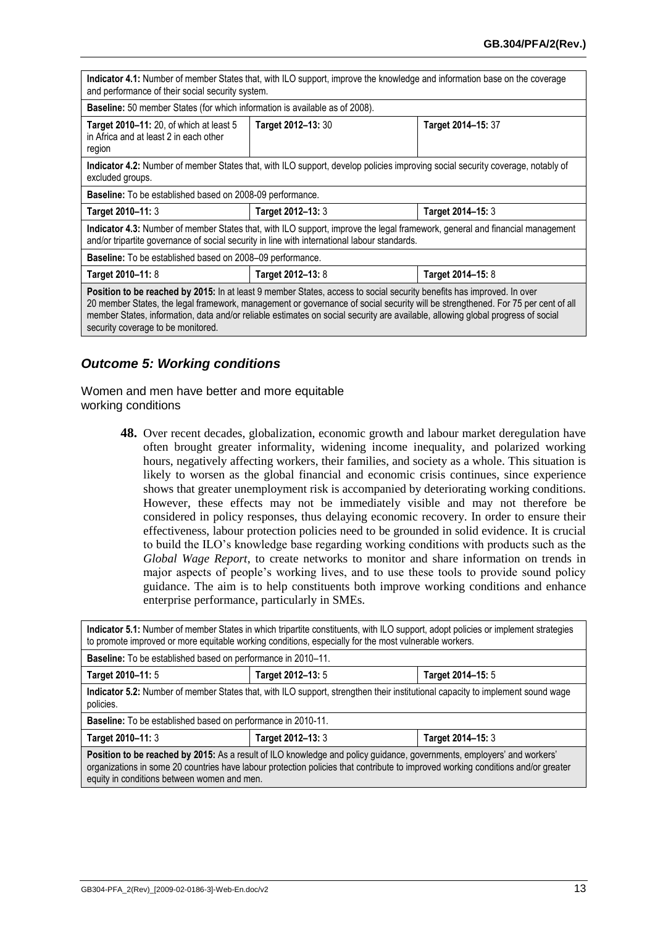| Indicator 4.1: Number of member States that, with ILO support, improve the knowledge and information base on the coverage<br>and performance of their social security system.                                                                                                                                                                                                                                                     |                    |                    |  |
|-----------------------------------------------------------------------------------------------------------------------------------------------------------------------------------------------------------------------------------------------------------------------------------------------------------------------------------------------------------------------------------------------------------------------------------|--------------------|--------------------|--|
| Baseline: 50 member States (for which information is available as of 2008).                                                                                                                                                                                                                                                                                                                                                       |                    |                    |  |
| Target 2010-11: 20, of which at least 5<br>in Africa and at least 2 in each other<br>region                                                                                                                                                                                                                                                                                                                                       | Target 2012-13: 30 | Target 2014-15: 37 |  |
| Indicator 4.2: Number of member States that, with ILO support, develop policies improving social security coverage, notably of<br>excluded groups.                                                                                                                                                                                                                                                                                |                    |                    |  |
| <b>Baseline:</b> To be established based on 2008-09 performance.                                                                                                                                                                                                                                                                                                                                                                  |                    |                    |  |
| Target 2014-15: 3<br>Target 2010-11: 3<br>Target 2012-13: 3                                                                                                                                                                                                                                                                                                                                                                       |                    |                    |  |
| Indicator 4.3: Number of member States that, with ILO support, improve the legal framework, general and financial management<br>and/or tripartite governance of social security in line with international labour standards.                                                                                                                                                                                                      |                    |                    |  |
| <b>Baseline:</b> To be established based on 2008–09 performance.                                                                                                                                                                                                                                                                                                                                                                  |                    |                    |  |
| Target 2010-11: 8<br>Target 2012-13: 8<br>Target 2014-15: 8                                                                                                                                                                                                                                                                                                                                                                       |                    |                    |  |
| Position to be reached by 2015: In at least 9 member States, access to social security benefits has improved. In over<br>20 member States, the legal framework, management or governance of social security will be strengthened. For 75 per cent of all<br>member States, information, data and/or reliable estimates on social security are available, allowing global progress of social<br>security coverage to be monitored. |                    |                    |  |

#### *Outcome 5: Working conditions*

Women and men have better and more equitable working conditions

> **48.** Over recent decades, globalization, economic growth and labour market deregulation have often brought greater informality, widening income inequality, and polarized working hours, negatively affecting workers, their families, and society as a whole. This situation is likely to worsen as the global financial and economic crisis continues, since experience shows that greater unemployment risk is accompanied by deteriorating working conditions. However, these effects may not be immediately visible and may not therefore be considered in policy responses, thus delaying economic recovery. In order to ensure their effectiveness, labour protection policies need to be grounded in solid evidence. It is crucial to build the ILO's knowledge base regarding working conditions with products such as the *Global Wage Report*, to create networks to monitor and share information on trends in major aspects of people's working lives, and to use these tools to provide sound policy guidance. The aim is to help constituents both improve working conditions and enhance enterprise performance, particularly in SMEs.

<span id="page-14-0"></span>

| Indicator 5.1: Number of member States in which tripartite constituents, with ILO support, adopt policies or implement strategies<br>to promote improved or more equitable working conditions, especially for the most vulnerable workers.                                                                |                                        |  |  |  |  |
|-----------------------------------------------------------------------------------------------------------------------------------------------------------------------------------------------------------------------------------------------------------------------------------------------------------|----------------------------------------|--|--|--|--|
| <b>Baseline:</b> To be established based on performance in 2010–11.                                                                                                                                                                                                                                       |                                        |  |  |  |  |
| Target 2010-11: 5                                                                                                                                                                                                                                                                                         | Target 2012-13: 5<br>Target 2014-15: 5 |  |  |  |  |
| Indicator 5.2: Number of member States that, with ILO support, strengthen their institutional capacity to implement sound wage<br>policies.                                                                                                                                                               |                                        |  |  |  |  |
| Baseline: To be established based on performance in 2010-11.                                                                                                                                                                                                                                              |                                        |  |  |  |  |
| Target 2012-13: 3<br>Target 2010-11: 3<br>Target 2014-15: 3                                                                                                                                                                                                                                               |                                        |  |  |  |  |
| Position to be reached by 2015: As a result of ILO knowledge and policy guidance, governments, employers' and workers'<br>organizations in some 20 countries have labour protection policies that contribute to improved working conditions and/or greater<br>equity in conditions between women and men. |                                        |  |  |  |  |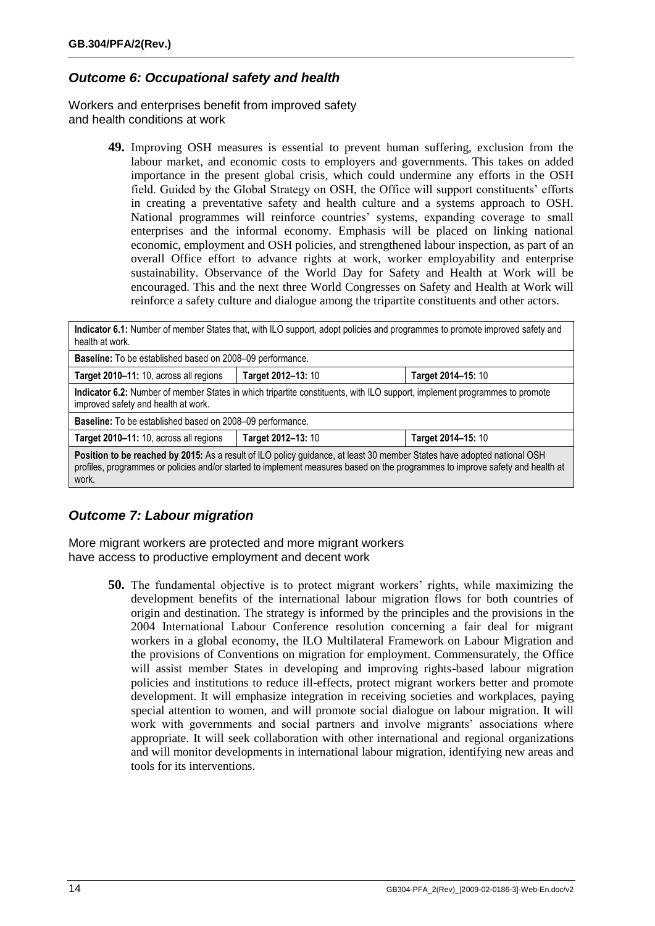#### *Outcome 6: Occupational safety and health*

Workers and enterprises benefit from improved safety and health conditions at work

> **49.** Improving OSH measures is essential to prevent human suffering, exclusion from the labour market, and economic costs to employers and governments. This takes on added importance in the present global crisis, which could undermine any efforts in the OSH field. Guided by the Global Strategy on OSH, the Office will support constituents' efforts in creating a preventative safety and health culture and a systems approach to OSH. National programmes will reinforce countries' systems, expanding coverage to small enterprises and the informal economy. Emphasis will be placed on linking national economic, employment and OSH policies, and strengthened labour inspection, as part of an overall Office effort to advance rights at work, worker employability and enterprise sustainability. Observance of the World Day for Safety and Health at Work will be encouraged. This and the next three World Congresses on Safety and Health at Work will reinforce a safety culture and dialogue among the tripartite constituents and other actors.

| Indicator 6.1: Number of member States that, with ILO support, adopt policies and programmes to promote improved safety and<br>health at work.                                                                                                                    |                                          |  |  |  |
|-------------------------------------------------------------------------------------------------------------------------------------------------------------------------------------------------------------------------------------------------------------------|------------------------------------------|--|--|--|
| Baseline: To be established based on 2008-09 performance.                                                                                                                                                                                                         |                                          |  |  |  |
| Target 2010-11: 10, across all regions                                                                                                                                                                                                                            | Target 2012-13: 10<br>Target 2014-15: 10 |  |  |  |
| Indicator 6.2: Number of member States in which tripartite constituents, with ILO support, implement programmes to promote<br>improved safety and health at work.                                                                                                 |                                          |  |  |  |
| Baseline: To be established based on 2008-09 performance.                                                                                                                                                                                                         |                                          |  |  |  |
| Target 2012-13: 10<br>Target 2010-11: 10, across all regions<br>Target 2014-15: 10                                                                                                                                                                                |                                          |  |  |  |
| Position to be reached by 2015: As a result of ILO policy guidance, at least 30 member States have adopted national OSH<br>profiles, programmes or policies and/or started to implement measures based on the programmes to improve safety and health at<br>work. |                                          |  |  |  |

## *Outcome 7: Labour migration*

More migrant workers are protected and more migrant workers have access to productive employment and decent work

> **50.** The fundamental objective is to protect migrant workers' rights, while maximizing the development benefits of the international labour migration flows for both countries of origin and destination. The strategy is informed by the principles and the provisions in the 2004 International Labour Conference resolution concerning a fair deal for migrant workers in a global economy, the ILO Multilateral Framework on Labour Migration and the provisions of Conventions on migration for employment. Commensurately, the Office will assist member States in developing and improving rights-based labour migration policies and institutions to reduce ill-effects, protect migrant workers better and promote development. It will emphasize integration in receiving societies and workplaces, paying special attention to women, and will promote social dialogue on labour migration. It will work with governments and social partners and involve migrants' associations where appropriate. It will seek collaboration with other international and regional organizations and will monitor developments in international labour migration, identifying new areas and tools for its interventions.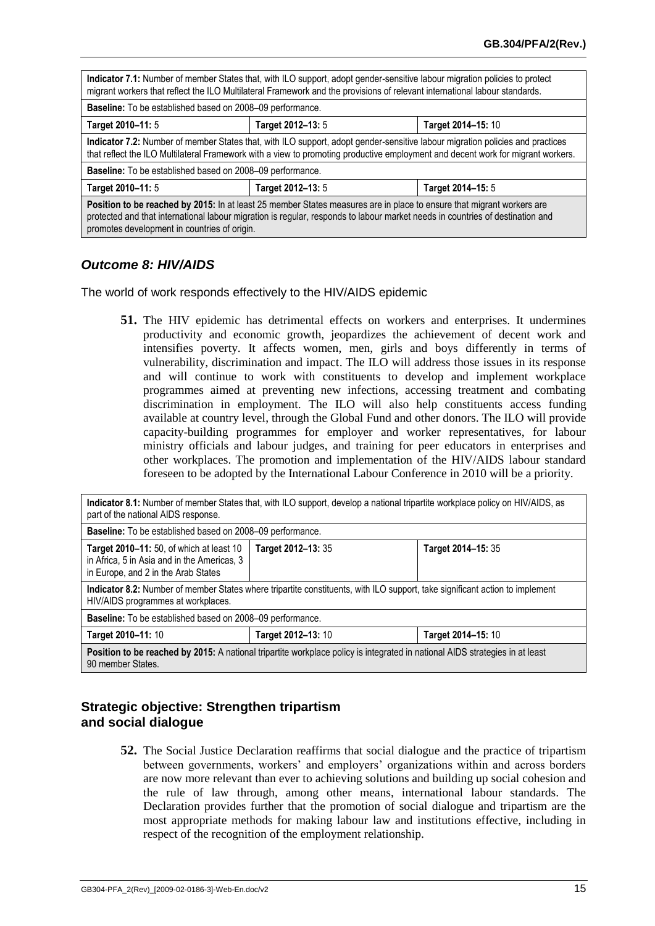| Indicator 7.1: Number of member States that, with ILO support, adopt gender-sensitive labour migration policies to protect<br>migrant workers that reflect the ILO Multilateral Framework and the provisions of relevant international labour standards.                                               |                   |                    |  |
|--------------------------------------------------------------------------------------------------------------------------------------------------------------------------------------------------------------------------------------------------------------------------------------------------------|-------------------|--------------------|--|
| <b>Baseline:</b> To be established based on 2008–09 performance.                                                                                                                                                                                                                                       |                   |                    |  |
| Target 2010-11: 5                                                                                                                                                                                                                                                                                      | Target 2012-13: 5 | Target 2014-15: 10 |  |
| Indicator 7.2: Number of member States that, with ILO support, adopt gender-sensitive labour migration policies and practices<br>that reflect the ILO Multilateral Framework with a view to promoting productive employment and decent work for migrant workers.                                       |                   |                    |  |
| <b>Baseline:</b> To be established based on 2008–09 performance.                                                                                                                                                                                                                                       |                   |                    |  |
| Target 2010-11: 5<br>Target 2012-13: 5<br>Target 2014-15: 5                                                                                                                                                                                                                                            |                   |                    |  |
| Position to be reached by 2015: In at least 25 member States measures are in place to ensure that migrant workers are<br>protected and that international labour migration is regular, responds to labour market needs in countries of destination and<br>promotes development in countries of origin. |                   |                    |  |

#### *Outcome 8: HIV/AIDS*

The world of work responds effectively to the HIV/AIDS epidemic

**51.** The HIV epidemic has detrimental effects on workers and enterprises. It undermines productivity and economic growth, jeopardizes the achievement of decent work and intensifies poverty. It affects women, men, girls and boys differently in terms of vulnerability, discrimination and impact. The ILO will address those issues in its response and will continue to work with constituents to develop and implement workplace programmes aimed at preventing new infections, accessing treatment and combating discrimination in employment. The ILO will also help constituents access funding available at country level, through the Global Fund and other donors. The ILO will provide capacity-building programmes for employer and worker representatives, for labour ministry officials and labour judges, and training for peer educators in enterprises and other workplaces. The promotion and implementation of the HIV/AIDS labour standard foreseen to be adopted by the International Labour Conference in 2010 will be a priority.

| Indicator 8.1: Number of member States that, with ILO support, develop a national tripartite workplace policy on HIV/AIDS, as<br>part of the national AIDS response.       |  |  |  |  |
|----------------------------------------------------------------------------------------------------------------------------------------------------------------------------|--|--|--|--|
| Baseline: To be established based on 2008-09 performance.                                                                                                                  |  |  |  |  |
| Target 2010-11: 50, of which at least 10<br>Target 2012-13: 35<br>Target 2014-15: 35<br>in Africa, 5 in Asia and in the Americas, 3<br>in Europe, and 2 in the Arab States |  |  |  |  |
| Indicator 8.2: Number of member States where tripartite constituents, with ILO support, take significant action to implement<br>HIV/AIDS programmes at workplaces.         |  |  |  |  |
| Baseline: To be established based on 2008-09 performance.                                                                                                                  |  |  |  |  |
| Target 2012-13: 10<br>Target 2010-11: 10<br>Target 2014-15: 10                                                                                                             |  |  |  |  |
| Position to be reached by 2015: A national tripartite workplace policy is integrated in national AIDS strategies in at least<br>90 member States.                          |  |  |  |  |

#### **Strategic objective: Strengthen tripartism and social dialogue**

**52.** The Social Justice Declaration reaffirms that social dialogue and the practice of tripartism between governments, workers' and employers' organizations within and across borders are now more relevant than ever to achieving solutions and building up social cohesion and the rule of law through, among other means, international labour standards. The Declaration provides further that the promotion of social dialogue and tripartism are the most appropriate methods for making labour law and institutions effective, including in respect of the recognition of the employment relationship.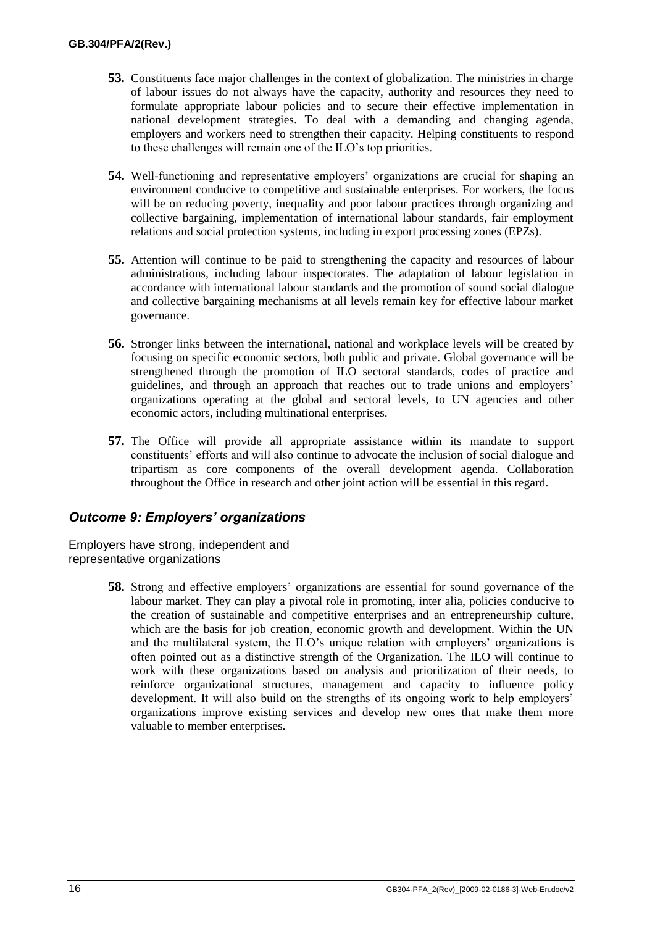- **53.** Constituents face major challenges in the context of globalization. The ministries in charge of labour issues do not always have the capacity, authority and resources they need to formulate appropriate labour policies and to secure their effective implementation in national development strategies. To deal with a demanding and changing agenda, employers and workers need to strengthen their capacity. Helping constituents to respond to these challenges will remain one of the ILO's top priorities.
- **54.** Well-functioning and representative employers' organizations are crucial for shaping an environment conducive to competitive and sustainable enterprises. For workers, the focus will be on reducing poverty, inequality and poor labour practices through organizing and collective bargaining, implementation of international labour standards, fair employment relations and social protection systems, including in export processing zones (EPZs).
- **55.** Attention will continue to be paid to strengthening the capacity and resources of labour administrations, including labour inspectorates. The adaptation of labour legislation in accordance with international labour standards and the promotion of sound social dialogue and collective bargaining mechanisms at all levels remain key for effective labour market governance.
- **56.** Stronger links between the international, national and workplace levels will be created by focusing on specific economic sectors, both public and private. Global governance will be strengthened through the promotion of ILO sectoral standards, codes of practice and guidelines, and through an approach that reaches out to trade unions and employers' organizations operating at the global and sectoral levels, to UN agencies and other economic actors, including multinational enterprises.
- **57.** The Office will provide all appropriate assistance within its mandate to support constituents' efforts and will also continue to advocate the inclusion of social dialogue and tripartism as core components of the overall development agenda. Collaboration throughout the Office in research and other joint action will be essential in this regard.

#### *Outcome 9: Employers' organizations*

Employers have strong, independent and representative organizations

> **58.** Strong and effective employers' organizations are essential for sound governance of the labour market. They can play a pivotal role in promoting, inter alia, policies conducive to the creation of sustainable and competitive enterprises and an entrepreneurship culture, which are the basis for job creation, economic growth and development. Within the UN and the multilateral system, the ILO's unique relation with employers' organizations is often pointed out as a distinctive strength of the Organization. The ILO will continue to work with these organizations based on analysis and prioritization of their needs, to reinforce organizational structures, management and capacity to influence policy development. It will also build on the strengths of its ongoing work to help employers' organizations improve existing services and develop new ones that make them more valuable to member enterprises.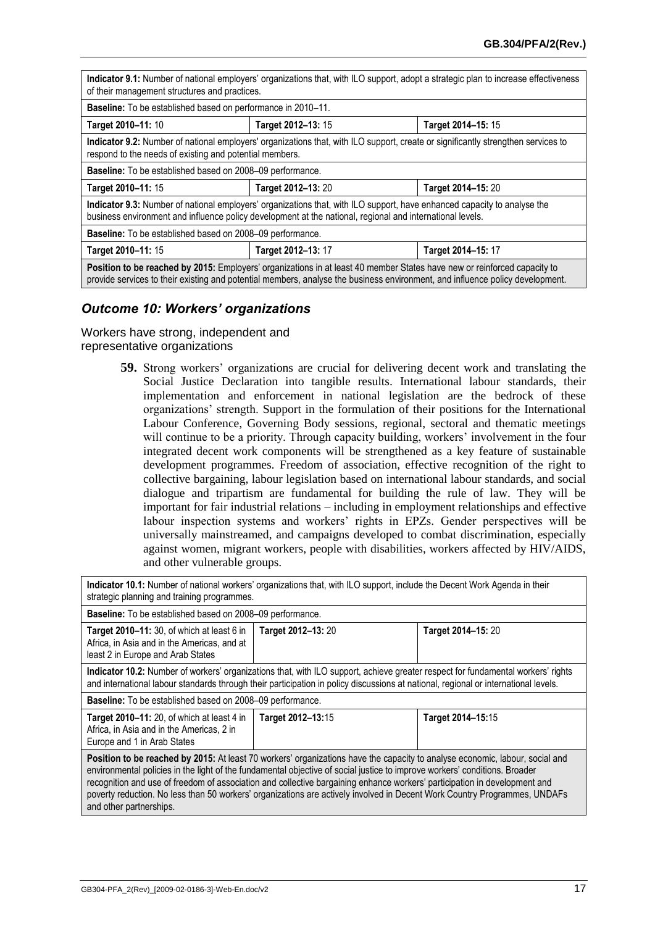| Indicator 9.1: Number of national employers' organizations that, with ILO support, adopt a strategic plan to increase effectiveness<br>of their management structures and practices.                                                                      |                    |                    |  |
|-----------------------------------------------------------------------------------------------------------------------------------------------------------------------------------------------------------------------------------------------------------|--------------------|--------------------|--|
| Baseline: To be established based on performance in 2010-11.                                                                                                                                                                                              |                    |                    |  |
| Target 2010-11: 10                                                                                                                                                                                                                                        | Target 2012-13: 15 | Target 2014-15: 15 |  |
| Indicator 9.2: Number of national employers' organizations that, with ILO support, create or significantly strengthen services to<br>respond to the needs of existing and potential members.                                                              |                    |                    |  |
| Baseline: To be established based on 2008-09 performance.                                                                                                                                                                                                 |                    |                    |  |
| Target 2010-11: 15                                                                                                                                                                                                                                        | Target 2012-13: 20 | Target 2014-15: 20 |  |
| Indicator 9.3: Number of national employers' organizations that, with ILO support, have enhanced capacity to analyse the<br>business environment and influence policy development at the national, regional and international levels.                     |                    |                    |  |
| <b>Baseline:</b> To be established based on 2008–09 performance.                                                                                                                                                                                          |                    |                    |  |
| Target 2012-13: 17<br>Target 2010-11: 15<br>Target 2014-15: 17                                                                                                                                                                                            |                    |                    |  |
| Position to be reached by 2015: Employers' organizations in at least 40 member States have new or reinforced capacity to<br>provide services to their existing and potential members, analyse the business environment, and influence policy development. |                    |                    |  |

#### *Outcome 10: Workers' organizations*

Workers have strong, independent and representative organizations

> **59.** Strong workers' organizations are crucial for delivering decent work and translating the Social Justice Declaration into tangible results. International labour standards, their implementation and enforcement in national legislation are the bedrock of these organizations' strength. Support in the formulation of their positions for the International Labour Conference, Governing Body sessions, regional, sectoral and thematic meetings will continue to be a priority. Through capacity building, workers' involvement in the four integrated decent work components will be strengthened as a key feature of sustainable development programmes. Freedom of association, effective recognition of the right to collective bargaining, labour legislation based on international labour standards, and social dialogue and tripartism are fundamental for building the rule of law. They will be important for fair industrial relations – including in employment relationships and effective labour inspection systems and workers' rights in EPZs. Gender perspectives will be universally mainstreamed, and campaigns developed to combat discrimination, especially against women, migrant workers, people with disabilities, workers affected by HIV/AIDS, and other vulnerable groups.

<span id="page-18-0"></span>

| Indicator 10.1: Number of national workers' organizations that, with ILO support, include the Decent Work Agenda in their<br>strategic planning and training programmes.                                                                                                                                                                                                                                                                                                                                                                        |                    |                    |  |
|-------------------------------------------------------------------------------------------------------------------------------------------------------------------------------------------------------------------------------------------------------------------------------------------------------------------------------------------------------------------------------------------------------------------------------------------------------------------------------------------------------------------------------------------------|--------------------|--------------------|--|
| <b>Baseline:</b> To be established based on 2008–09 performance.                                                                                                                                                                                                                                                                                                                                                                                                                                                                                |                    |                    |  |
| Target 2010-11: 30, of which at least 6 in<br>Africa, in Asia and in the Americas, and at<br>least 2 in Europe and Arab States                                                                                                                                                                                                                                                                                                                                                                                                                  | Target 2012-13: 20 | Target 2014-15: 20 |  |
| Indicator 10.2: Number of workers' organizations that, with ILO support, achieve greater respect for fundamental workers' rights<br>and international labour standards through their participation in policy discussions at national, regional or international levels.                                                                                                                                                                                                                                                                         |                    |                    |  |
| Baseline: To be established based on 2008-09 performance.                                                                                                                                                                                                                                                                                                                                                                                                                                                                                       |                    |                    |  |
| <b>Target 2010–11:</b> 20, of which at least 4 in<br>Africa, in Asia and in the Americas, 2 in<br>Europe and 1 in Arab States                                                                                                                                                                                                                                                                                                                                                                                                                   | Target 2012-13:15  | Target 2014-15:15  |  |
| Position to be reached by 2015: At least 70 workers' organizations have the capacity to analyse economic, labour, social and<br>environmental policies in the light of the fundamental objective of social justice to improve workers' conditions. Broader<br>recognition and use of freedom of association and collective bargaining enhance workers' participation in development and<br>poverty reduction. No less than 50 workers' organizations are actively involved in Decent Work Country Programmes, UNDAFs<br>and other partnerships. |                    |                    |  |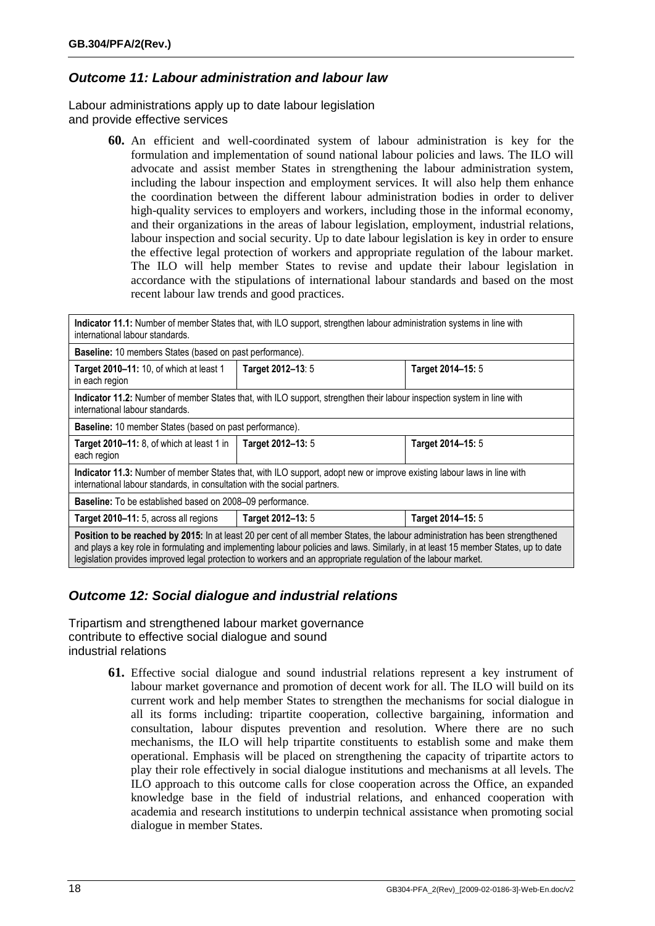#### *Outcome 11: Labour administration and labour law*

Labour administrations apply up to date labour legislation and provide effective services

> **60.** An efficient and well-coordinated system of labour administration is key for the formulation and implementation of sound national labour policies and laws. The ILO will advocate and assist member States in strengthening the labour administration system, including the labour inspection and employment services. It will also help them enhance the coordination between the different labour administration bodies in order to deliver high-quality services to employers and workers, including those in the informal economy, and their organizations in the areas of labour legislation, employment, industrial relations, labour inspection and social security. Up to date labour legislation is key in order to ensure the effective legal protection of workers and appropriate regulation of the labour market. The ILO will help member States to revise and update their labour legislation in accordance with the stipulations of international labour standards and based on the most recent labour law trends and good practices.

| Indicator 11.1: Number of member States that, with ILO support, strengthen labour administration systems in line with<br>international labour standards.                                                                                                                                                                                                                             |                   |                   |
|--------------------------------------------------------------------------------------------------------------------------------------------------------------------------------------------------------------------------------------------------------------------------------------------------------------------------------------------------------------------------------------|-------------------|-------------------|
| Baseline: 10 members States (based on past performance).                                                                                                                                                                                                                                                                                                                             |                   |                   |
| Target 2010-11: 10, of which at least 1<br>in each region                                                                                                                                                                                                                                                                                                                            | Target 2012-13: 5 | Target 2014-15: 5 |
| Indicator 11.2: Number of member States that, with ILO support, strengthen their labour inspection system in line with<br>international labour standards.                                                                                                                                                                                                                            |                   |                   |
| Baseline: 10 member States (based on past performance).                                                                                                                                                                                                                                                                                                                              |                   |                   |
| Target 2010-11: 8, of which at least 1 in<br>each region                                                                                                                                                                                                                                                                                                                             | Target 2012-13: 5 | Target 2014-15: 5 |
| Indicator 11.3: Number of member States that, with ILO support, adopt new or improve existing labour laws in line with<br>international labour standards, in consultation with the social partners.                                                                                                                                                                                  |                   |                   |
| <b>Baseline:</b> To be established based on 2008–09 performance.                                                                                                                                                                                                                                                                                                                     |                   |                   |
| Target 2010–11: 5, across all regions                                                                                                                                                                                                                                                                                                                                                | Target 2012-13: 5 | Target 2014-15: 5 |
| Position to be reached by 2015: In at least 20 per cent of all member States, the labour administration has been strengthened<br>and plays a key role in formulating and implementing labour policies and laws. Similarly, in at least 15 member States, up to date<br>legislation provides improved legal protection to workers and an appropriate regulation of the labour market. |                   |                   |

#### *Outcome 12: Social dialogue and industrial relations*

Tripartism and strengthened labour market governance contribute to effective social dialogue and sound industrial relations

> **61.** Effective social dialogue and sound industrial relations represent a key instrument of labour market governance and promotion of decent work for all. The ILO will build on its current work and help member States to strengthen the mechanisms for social dialogue in all its forms including: tripartite cooperation, collective bargaining, information and consultation, labour disputes prevention and resolution. Where there are no such mechanisms, the ILO will help tripartite constituents to establish some and make them operational. Emphasis will be placed on strengthening the capacity of tripartite actors to play their role effectively in social dialogue institutions and mechanisms at all levels. The ILO approach to this outcome calls for close cooperation across the Office, an expanded knowledge base in the field of industrial relations, and enhanced cooperation with academia and research institutions to underpin technical assistance when promoting social dialogue in member States.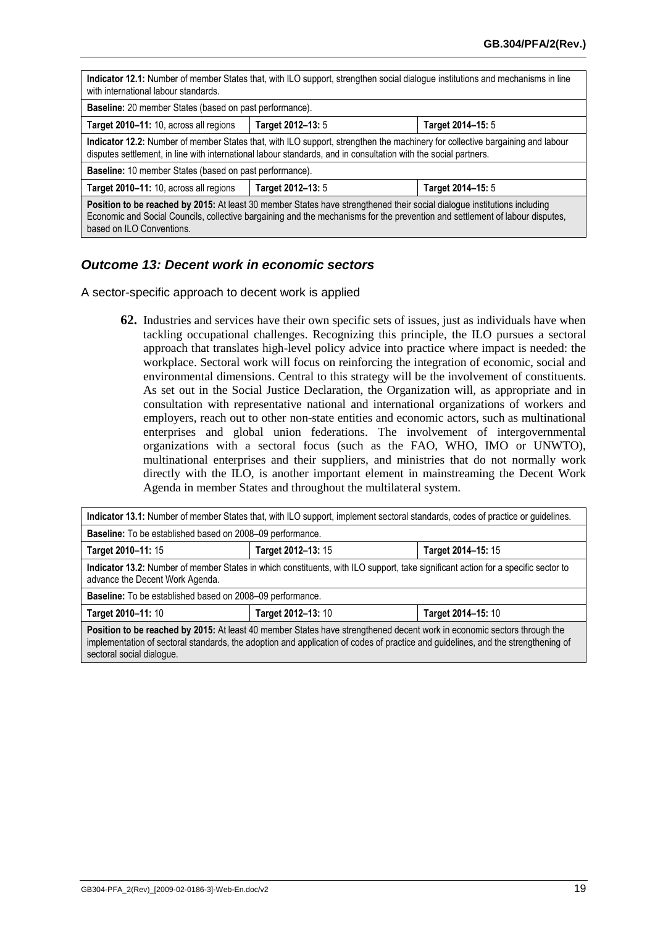| Indicator 12.1: Number of member States that, with ILO support, strengthen social dialogue institutions and mechanisms in line<br>with international labour standards.                                                                                                                |                   |                   |
|---------------------------------------------------------------------------------------------------------------------------------------------------------------------------------------------------------------------------------------------------------------------------------------|-------------------|-------------------|
| Baseline: 20 member States (based on past performance).                                                                                                                                                                                                                               |                   |                   |
| Target 2010-11: 10, across all regions                                                                                                                                                                                                                                                | Target 2012-13: 5 | Target 2014-15: 5 |
| Indicator 12.2: Number of member States that, with ILO support, strengthen the machinery for collective bargaining and labour<br>disputes settlement, in line with international labour standards, and in consultation with the social partners.                                      |                   |                   |
| <b>Baseline:</b> 10 member States (based on past performance).                                                                                                                                                                                                                        |                   |                   |
| Target 2010-11: 10, across all regions                                                                                                                                                                                                                                                | Target 2012-13: 5 | Target 2014-15: 5 |
| Position to be reached by 2015: At least 30 member States have strengthened their social dialogue institutions including<br>Economic and Social Councils, collective bargaining and the mechanisms for the prevention and settlement of labour disputes,<br>based on ILO Conventions. |                   |                   |

#### *Outcome 13: Decent work in economic sectors*

A sector-specific approach to decent work is applied

**62.** Industries and services have their own specific sets of issues, just as individuals have when tackling occupational challenges. Recognizing this principle, the ILO pursues a sectoral approach that translates high-level policy advice into practice where impact is needed: the workplace. Sectoral work will focus on reinforcing the integration of economic, social and environmental dimensions. Central to this strategy will be the involvement of constituents. As set out in the Social Justice Declaration, the Organization will, as appropriate and in consultation with representative national and international organizations of workers and employers, reach out to other non-state entities and economic actors, such as multinational enterprises and global union federations. The involvement of intergovernmental organizations with a sectoral focus (such as the FAO, WHO, IMO or UNWTO), multinational enterprises and their suppliers, and ministries that do not normally work directly with the ILO, is another important element in mainstreaming the Decent Work Agenda in member States and throughout the multilateral system.

| Indicator 13.1: Number of member States that, with ILO support, implement sectoral standards, codes of practice or guidelines.                                                                                                                              |                                          |                    |  |
|-------------------------------------------------------------------------------------------------------------------------------------------------------------------------------------------------------------------------------------------------------------|------------------------------------------|--------------------|--|
| Baseline: To be established based on 2008-09 performance.                                                                                                                                                                                                   |                                          |                    |  |
| Target 2010-11: 15                                                                                                                                                                                                                                          | Target 2012-13: 15<br>Target 2014-15: 15 |                    |  |
| Indicator 13.2: Number of member States in which constituents, with ILO support, take significant action for a specific sector to<br>advance the Decent Work Agenda.                                                                                        |                                          |                    |  |
| Baseline: To be established based on 2008-09 performance.                                                                                                                                                                                                   |                                          |                    |  |
| Target 2010-11: 10                                                                                                                                                                                                                                          | Target 2012-13: 10                       | Target 2014-15: 10 |  |
| Position to be reached by 2015: At least 40 member States have strengthened decent work in economic sectors through the<br>implementation of sectoral standards, the adoption and application of codes of practice and guidelines, and the strengthening of |                                          |                    |  |

sectoral social dialogue.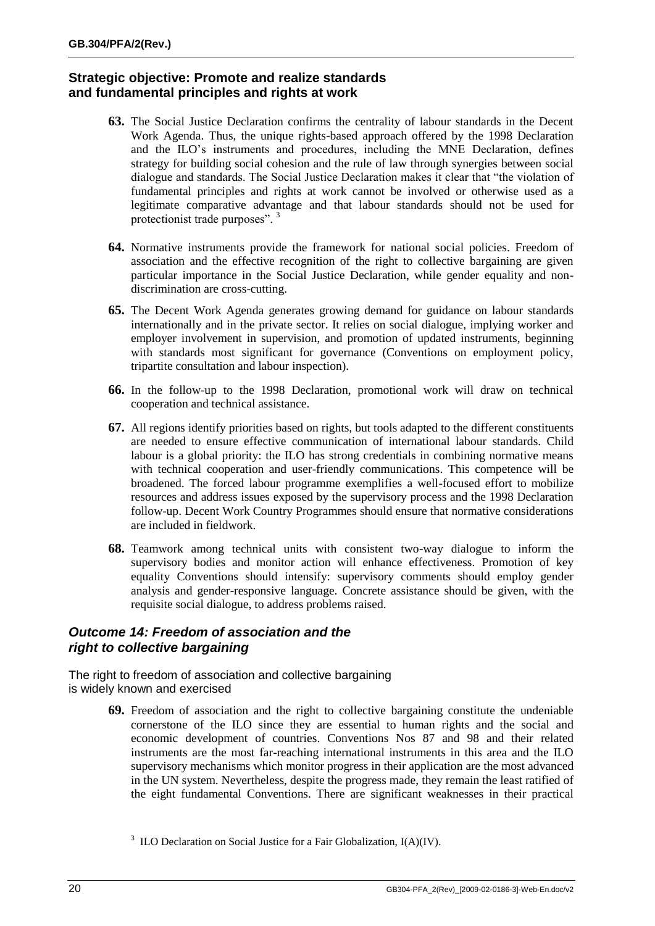#### **Strategic objective: Promote and realize standards and fundamental principles and rights at work**

- **63.** The Social Justice Declaration confirms the centrality of labour standards in the Decent Work Agenda. Thus, the unique rights-based approach offered by the 1998 Declaration and the ILO's instruments and procedures, including the MNE Declaration, defines strategy for building social cohesion and the rule of law through synergies between social dialogue and standards. The Social Justice Declaration makes it clear that "the violation of fundamental principles and rights at work cannot be involved or otherwise used as a legitimate comparative advantage and that labour standards should not be used for protectionist trade purposes". <sup>3</sup>
- **64.** Normative instruments provide the framework for national social policies. Freedom of association and the effective recognition of the right to collective bargaining are given particular importance in the Social Justice Declaration, while gender equality and nondiscrimination are cross-cutting.
- **65.** The Decent Work Agenda generates growing demand for guidance on labour standards internationally and in the private sector. It relies on social dialogue, implying worker and employer involvement in supervision, and promotion of updated instruments, beginning with standards most significant for governance (Conventions on employment policy, tripartite consultation and labour inspection).
- **66.** In the follow-up to the 1998 Declaration, promotional work will draw on technical cooperation and technical assistance.
- **67.** All regions identify priorities based on rights, but tools adapted to the different constituents are needed to ensure effective communication of international labour standards. Child labour is a global priority: the ILO has strong credentials in combining normative means with technical cooperation and user-friendly communications. This competence will be broadened. The forced labour programme exemplifies a well-focused effort to mobilize resources and address issues exposed by the supervisory process and the 1998 Declaration follow-up. Decent Work Country Programmes should ensure that normative considerations are included in fieldwork.
- **68.** Teamwork among technical units with consistent two-way dialogue to inform the supervisory bodies and monitor action will enhance effectiveness. Promotion of key equality Conventions should intensify: supervisory comments should employ gender analysis and gender-responsive language. Concrete assistance should be given, with the requisite social dialogue, to address problems raised.

#### *Outcome 14: Freedom of association and the right to collective bargaining*

The right to freedom of association and collective bargaining is widely known and exercised

> **69.** Freedom of association and the right to collective bargaining constitute the undeniable cornerstone of the ILO since they are essential to human rights and the social and economic development of countries. Conventions Nos 87 and 98 and their related instruments are the most far-reaching international instruments in this area and the ILO supervisory mechanisms which monitor progress in their application are the most advanced in the UN system. Nevertheless, despite the progress made, they remain the least ratified of the eight fundamental Conventions. There are significant weaknesses in their practical

<sup>&</sup>lt;sup>3</sup> ILO Declaration on Social Justice for a Fair Globalization,  $I(A)(IV)$ .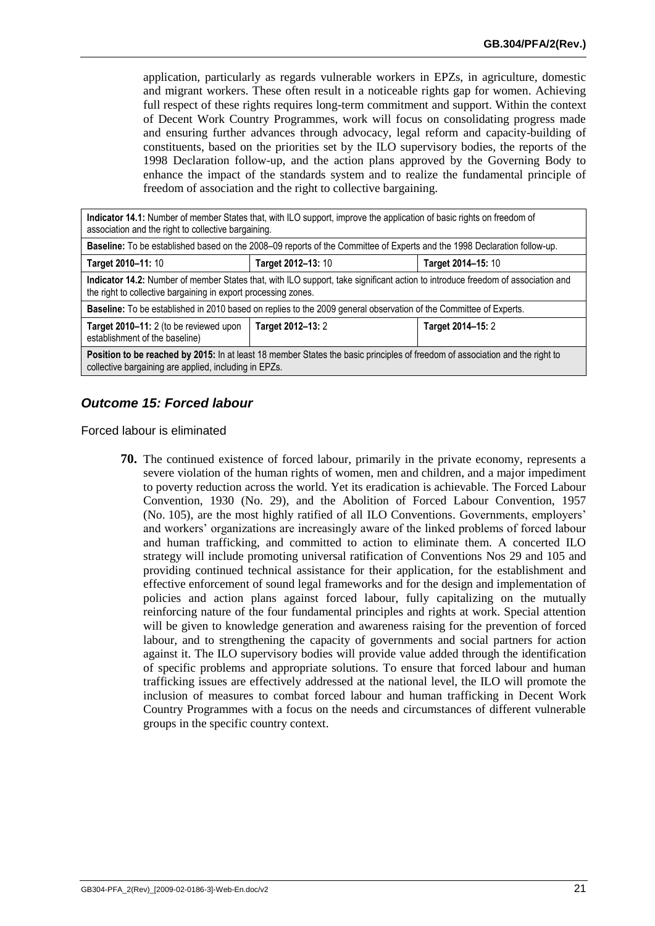application, particularly as regards vulnerable workers in EPZs, in agriculture, domestic and migrant workers. These often result in a noticeable rights gap for women. Achieving full respect of these rights requires long-term commitment and support. Within the context of Decent Work Country Programmes, work will focus on consolidating progress made and ensuring further advances through advocacy, legal reform and capacity-building of constituents, based on the priorities set by the ILO supervisory bodies, the reports of the 1998 Declaration follow-up, and the action plans approved by the Governing Body to enhance the impact of the standards system and to realize the fundamental principle of freedom of association and the right to collective bargaining.

| association and the right to collective bargaining.                                                                                                                                               | Indicator 14.1: Number of member States that, with ILO support, improve the application of basic rights on freedom of        |                    |
|---------------------------------------------------------------------------------------------------------------------------------------------------------------------------------------------------|------------------------------------------------------------------------------------------------------------------------------|--------------------|
|                                                                                                                                                                                                   | Baseline: To be established based on the 2008–09 reports of the Committee of Experts and the 1998 Declaration follow-up.     |                    |
| Target 2010-11: 10                                                                                                                                                                                | Target 2012-13: 10                                                                                                           | Target 2014-15: 10 |
| Indicator 14.2: Number of member States that, with ILO support, take significant action to introduce freedom of association and<br>the right to collective bargaining in export processing zones. |                                                                                                                              |                    |
| Baseline: To be established in 2010 based on replies to the 2009 general observation of the Committee of Experts.                                                                                 |                                                                                                                              |                    |
| Target 2010-11: 2 (to be reviewed upon<br>establishment of the baseline)                                                                                                                          | Target 2012-13: 2                                                                                                            | Target 2014-15: 2  |
| collective bargaining are applied, including in EPZs.                                                                                                                                             | Position to be reached by 2015: In at least 18 member States the basic principles of freedom of association and the right to |                    |

## *Outcome 15: Forced labour*

Forced labour is eliminated

**70.** The continued existence of forced labour, primarily in the private economy, represents a severe violation of the human rights of women, men and children, and a major impediment to poverty reduction across the world. Yet its eradication is achievable. The Forced Labour Convention, 1930 (No. 29), and the Abolition of Forced Labour Convention, 1957 (No. 105), are the most highly ratified of all ILO Conventions. Governments, employers' and workers' organizations are increasingly aware of the linked problems of forced labour and human trafficking, and committed to action to eliminate them. A concerted ILO strategy will include promoting universal ratification of Conventions Nos 29 and 105 and providing continued technical assistance for their application, for the establishment and effective enforcement of sound legal frameworks and for the design and implementation of policies and action plans against forced labour, fully capitalizing on the mutually reinforcing nature of the four fundamental principles and rights at work. Special attention will be given to knowledge generation and awareness raising for the prevention of forced labour, and to strengthening the capacity of governments and social partners for action against it. The ILO supervisory bodies will provide value added through the identification of specific problems and appropriate solutions. To ensure that forced labour and human trafficking issues are effectively addressed at the national level, the ILO will promote the inclusion of measures to combat forced labour and human trafficking in Decent Work Country Programmes with a focus on the needs and circumstances of different vulnerable groups in the specific country context.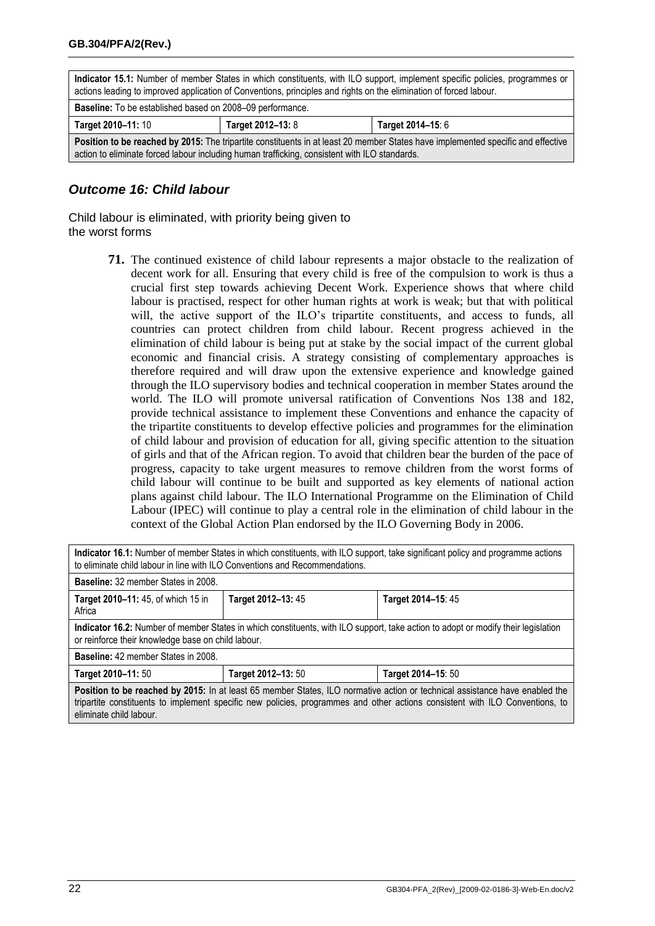<span id="page-23-0"></span>

| Indicator 15.1: Number of member States in which constituents, with ILO support, implement specific policies, programmes or<br>actions leading to improved application of Conventions, principles and rights on the elimination of forced labour. |                                        |  |  |
|---------------------------------------------------------------------------------------------------------------------------------------------------------------------------------------------------------------------------------------------------|----------------------------------------|--|--|
| <b>Baseline:</b> To be established based on 2008–09 performance.                                                                                                                                                                                  |                                        |  |  |
| Target 2010-11: 10                                                                                                                                                                                                                                | Target 2012-13: 8<br>Target 2014-15: 6 |  |  |
| Position to be reached by 2015: The tripartite constituents in at least 20 member States have implemented specific and effective<br>action to eliminate forced labour including human trafficking, consistent with ILO standards.                 |                                        |  |  |

#### *Outcome 16: Child labour*

Child labour is eliminated, with priority being given to the worst forms

> **71.** The continued existence of child labour represents a major obstacle to the realization of decent work for all. Ensuring that every child is free of the compulsion to work is thus a crucial first step towards achieving Decent Work. Experience shows that where child labour is practised, respect for other human rights at work is weak; but that with political will, the active support of the ILO's tripartite constituents, and access to funds, all countries can protect children from child labour. Recent progress achieved in the elimination of child labour is being put at stake by the social impact of the current global economic and financial crisis. A strategy consisting of complementary approaches is therefore required and will draw upon the extensive experience and knowledge gained through the ILO supervisory bodies and technical cooperation in member States around the world. The ILO will promote universal ratification of Conventions Nos 138 and 182, provide technical assistance to implement these Conventions and enhance the capacity of the tripartite constituents to develop effective policies and programmes for the elimination of child labour and provision of education for all, giving specific attention to the situation of girls and that of the African region. To avoid that children bear the burden of the pace of progress, capacity to take urgent measures to remove children from the worst forms of child labour will continue to be built and supported as key elements of national action plans against child labour. The ILO International Programme on the Elimination of Child Labour (IPEC) will continue to play a central role in the elimination of child labour in the context of the Global Action Plan endorsed by the ILO Governing Body in 2006.

| Indicator 16.1: Number of member States in which constituents, with ILO support, take significant policy and programme actions<br>to eliminate child labour in line with ILO Conventions and Recommendations.                                                                          |                    |                    |
|----------------------------------------------------------------------------------------------------------------------------------------------------------------------------------------------------------------------------------------------------------------------------------------|--------------------|--------------------|
| <b>Baseline: 32 member States in 2008.</b>                                                                                                                                                                                                                                             |                    |                    |
| <b>Target 2010–11: 45, of which 15 in</b><br>Africa                                                                                                                                                                                                                                    | Target 2012-13: 45 | Target 2014-15: 45 |
| Indicator 16.2: Number of member States in which constituents, with ILO support, take action to adopt or modify their legislation<br>or reinforce their knowledge base on child labour.                                                                                                |                    |                    |
| <b>Baseline:</b> 42 member States in 2008.                                                                                                                                                                                                                                             |                    |                    |
| Target 2010-11: 50                                                                                                                                                                                                                                                                     | Target 2012-13: 50 | Target 2014-15: 50 |
| Position to be reached by 2015: In at least 65 member States, ILO normative action or technical assistance have enabled the<br>tripartite constituents to implement specific new policies, programmes and other actions consistent with ILO Conventions, to<br>eliminate child labour. |                    |                    |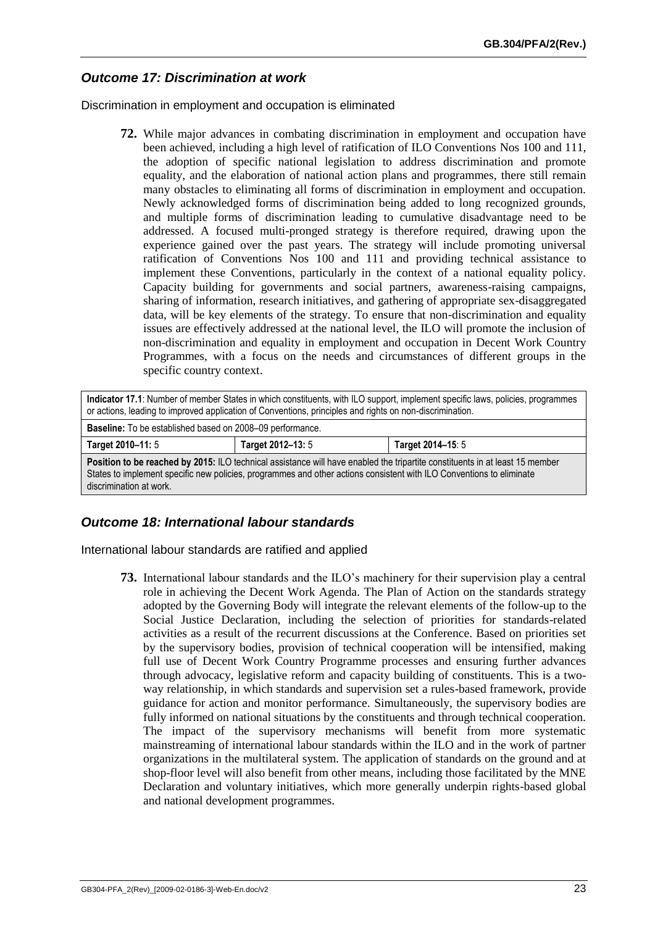## *Outcome 17: Discrimination at work*

Discrimination in employment and occupation is eliminated

**72.** While major advances in combating discrimination in employment and occupation have been achieved, including a high level of ratification of ILO Conventions Nos 100 and 111, the adoption of specific national legislation to address discrimination and promote equality, and the elaboration of national action plans and programmes, there still remain many obstacles to eliminating all forms of discrimination in employment and occupation. Newly acknowledged forms of discrimination being added to long recognized grounds, and multiple forms of discrimination leading to cumulative disadvantage need to be addressed. A focused multi-pronged strategy is therefore required, drawing upon the experience gained over the past years. The strategy will include promoting universal ratification of Conventions Nos 100 and 111 and providing technical assistance to implement these Conventions, particularly in the context of a national equality policy. Capacity building for governments and social partners, awareness-raising campaigns, sharing of information, research initiatives, and gathering of appropriate sex-disaggregated data, will be key elements of the strategy. To ensure that non-discrimination and equality issues are effectively addressed at the national level, the ILO will promote the inclusion of non-discrimination and equality in employment and occupation in Decent Work Country Programmes, with a focus on the needs and circumstances of different groups in the specific country context.

| Indicator 17.1: Number of member States in which constituents, with ILO support, implement specific laws, policies, programmes<br>or actions, leading to improved application of Conventions, principles and rights on non-discrimination.                                      |                                        |  |
|---------------------------------------------------------------------------------------------------------------------------------------------------------------------------------------------------------------------------------------------------------------------------------|----------------------------------------|--|
| <b>Baseline:</b> To be established based on 2008–09 performance.                                                                                                                                                                                                                |                                        |  |
| Target 2010-11: 5                                                                                                                                                                                                                                                               | Target 2012-13: 5<br>Target 2014-15: 5 |  |
| Position to be reached by 2015: ILO technical assistance will have enabled the tripartite constituents in at least 15 member<br>States to implement specific new policies, programmes and other actions consistent with ILO Conventions to eliminate<br>discrimination at work. |                                        |  |

#### *Outcome 18: International labour standards*

International labour standards are ratified and applied

**73.** International labour standards and the ILO's machinery for their supervision play a central role in achieving the Decent Work Agenda. The Plan of Action on the standards strategy adopted by the Governing Body will integrate the relevant elements of the follow-up to the Social Justice Declaration, including the selection of priorities for standards-related activities as a result of the recurrent discussions at the Conference. Based on priorities set by the supervisory bodies, provision of technical cooperation will be intensified, making full use of Decent Work Country Programme processes and ensuring further advances through advocacy, legislative reform and capacity building of constituents. This is a twoway relationship, in which standards and supervision set a rules-based framework, provide guidance for action and monitor performance. Simultaneously, the supervisory bodies are fully informed on national situations by the constituents and through technical cooperation. The impact of the supervisory mechanisms will benefit from more systematic mainstreaming of international labour standards within the ILO and in the work of partner organizations in the multilateral system. The application of standards on the ground and at shop-floor level will also benefit from other means, including those facilitated by the MNE Declaration and voluntary initiatives, which more generally underpin rights-based global and national development programmes.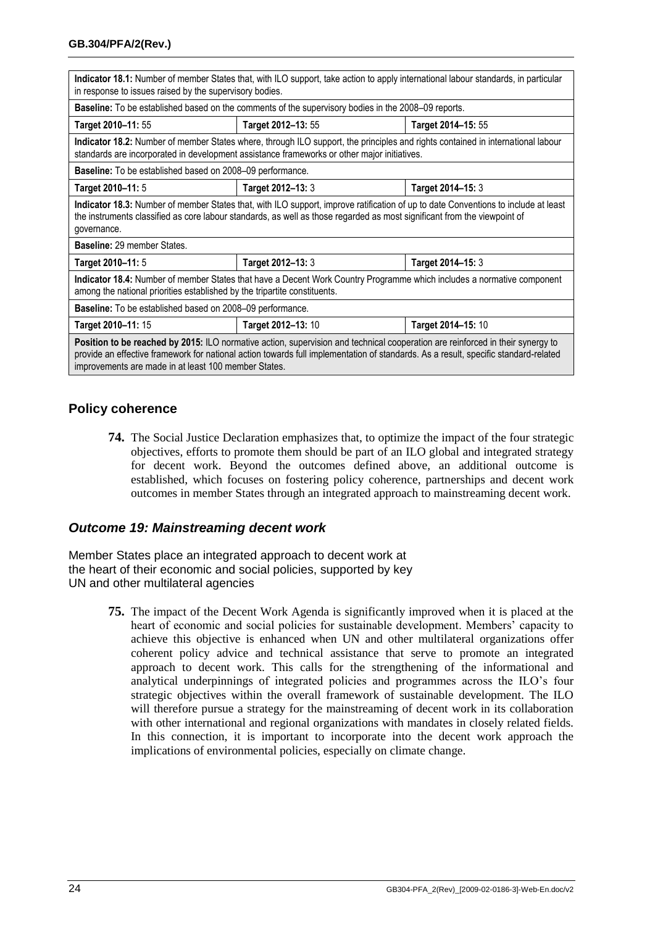| Indicator 18.1: Number of member States that, with ILO support, take action to apply international labour standards, in particular<br>in response to issues raised by the supervisory bodies.                                                                                                                                 |                                                                                                                                                                                                                                |                    |
|-------------------------------------------------------------------------------------------------------------------------------------------------------------------------------------------------------------------------------------------------------------------------------------------------------------------------------|--------------------------------------------------------------------------------------------------------------------------------------------------------------------------------------------------------------------------------|--------------------|
|                                                                                                                                                                                                                                                                                                                               | <b>Baseline:</b> To be established based on the comments of the supervisory bodies in the 2008–09 reports.                                                                                                                     |                    |
| Target 2010-11: 55                                                                                                                                                                                                                                                                                                            | Target 2012-13: 55                                                                                                                                                                                                             | Target 2014-15: 55 |
|                                                                                                                                                                                                                                                                                                                               | Indicator 18.2: Number of member States where, through ILO support, the principles and rights contained in international labour<br>standards are incorporated in development assistance frameworks or other major initiatives. |                    |
| <b>Baseline:</b> To be established based on 2008–09 performance.                                                                                                                                                                                                                                                              |                                                                                                                                                                                                                                |                    |
| Target 2010-11: 5                                                                                                                                                                                                                                                                                                             | Target 2012-13: 3                                                                                                                                                                                                              | Target 2014-15: 3  |
| Indicator 18.3: Number of member States that, with ILO support, improve ratification of up to date Conventions to include at least<br>the instruments classified as core labour standards, as well as those regarded as most significant from the viewpoint of<br>governance.                                                 |                                                                                                                                                                                                                                |                    |
| Baseline: 29 member States.                                                                                                                                                                                                                                                                                                   |                                                                                                                                                                                                                                |                    |
| Target 2010-11: 5                                                                                                                                                                                                                                                                                                             | Target 2012-13: 3                                                                                                                                                                                                              | Target 2014-15: 3  |
| Indicator 18.4: Number of member States that have a Decent Work Country Programme which includes a normative component<br>among the national priorities established by the tripartite constituents.                                                                                                                           |                                                                                                                                                                                                                                |                    |
| Baseline: To be established based on 2008-09 performance.                                                                                                                                                                                                                                                                     |                                                                                                                                                                                                                                |                    |
| Target 2010-11: 15                                                                                                                                                                                                                                                                                                            | Target 2012-13: 10                                                                                                                                                                                                             | Target 2014-15: 10 |
| Position to be reached by 2015: ILO normative action, supervision and technical cooperation are reinforced in their synergy to<br>provide an effective framework for national action towards full implementation of standards. As a result, specific standard-related<br>improvements are made in at least 100 member States. |                                                                                                                                                                                                                                |                    |

#### **Policy coherence**

**74.** The Social Justice Declaration emphasizes that, to optimize the impact of the four strategic objectives, efforts to promote them should be part of an ILO global and integrated strategy for decent work. Beyond the outcomes defined above, an additional outcome is established, which focuses on fostering policy coherence, partnerships and decent work outcomes in member States through an integrated approach to mainstreaming decent work.

#### *Outcome 19: Mainstreaming decent work*

Member States place an integrated approach to decent work at the heart of their economic and social policies, supported by key UN and other multilateral agencies

> **75.** The impact of the Decent Work Agenda is significantly improved when it is placed at the heart of economic and social policies for sustainable development. Members' capacity to achieve this objective is enhanced when UN and other multilateral organizations offer coherent policy advice and technical assistance that serve to promote an integrated approach to decent work. This calls for the strengthening of the informational and analytical underpinnings of integrated policies and programmes across the ILO's four strategic objectives within the overall framework of sustainable development. The ILO will therefore pursue a strategy for the mainstreaming of decent work in its collaboration with other international and regional organizations with mandates in closely related fields. In this connection, it is important to incorporate into the decent work approach the implications of environmental policies, especially on climate change.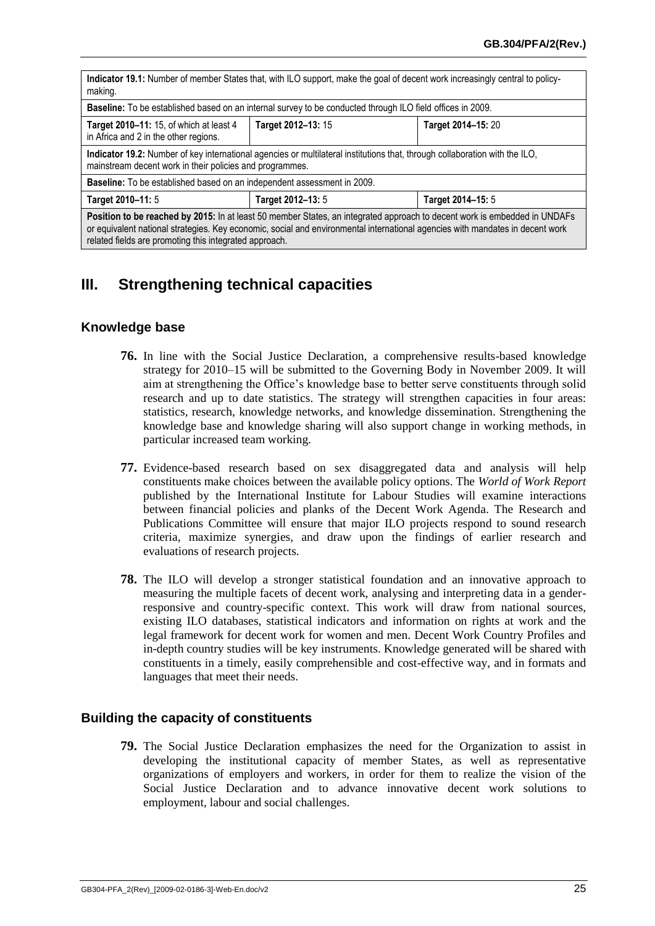| Indicator 19.1: Number of member States that, with ILO support, make the goal of decent work increasingly central to policy-<br>making.                                                                                                                                                                              |                    |                    |  |
|----------------------------------------------------------------------------------------------------------------------------------------------------------------------------------------------------------------------------------------------------------------------------------------------------------------------|--------------------|--------------------|--|
| Baseline: To be established based on an internal survey to be conducted through ILO field offices in 2009.                                                                                                                                                                                                           |                    |                    |  |
| Target 2010-11: 15, of which at least 4<br>in Africa and 2 in the other regions.                                                                                                                                                                                                                                     | Target 2012-13: 15 | Target 2014-15: 20 |  |
| Indicator 19.2: Number of key international agencies or multilateral institutions that, through collaboration with the ILO,<br>mainstream decent work in their policies and programmes.                                                                                                                              |                    |                    |  |
| Baseline: To be established based on an independent assessment in 2009.                                                                                                                                                                                                                                              |                    |                    |  |
| Target 2010-11: 5                                                                                                                                                                                                                                                                                                    | Target 2012-13: 5  | Target 2014-15: 5  |  |
| Position to be reached by 2015: In at least 50 member States, an integrated approach to decent work is embedded in UNDAFs<br>or equivalent national strategies. Key economic, social and environmental international agencies with mandates in decent work<br>related fields are promoting this integrated approach. |                    |                    |  |

# **III. Strengthening technical capacities**

#### **Knowledge base**

- **76.** In line with the Social Justice Declaration, a comprehensive results-based knowledge strategy for 2010–15 will be submitted to the Governing Body in November 2009. It will aim at strengthening the Office's knowledge base to better serve constituents through solid research and up to date statistics. The strategy will strengthen capacities in four areas: statistics, research, knowledge networks, and knowledge dissemination. Strengthening the knowledge base and knowledge sharing will also support change in working methods, in particular increased team working.
- **77.** Evidence-based research based on sex disaggregated data and analysis will help constituents make choices between the available policy options. The *World of Work Report* published by the International Institute for Labour Studies will examine interactions between financial policies and planks of the Decent Work Agenda. The Research and Publications Committee will ensure that major ILO projects respond to sound research criteria, maximize synergies, and draw upon the findings of earlier research and evaluations of research projects.
- **78.** The ILO will develop a stronger statistical foundation and an innovative approach to measuring the multiple facets of decent work, analysing and interpreting data in a genderresponsive and country-specific context. This work will draw from national sources, existing ILO databases, statistical indicators and information on rights at work and the legal framework for decent work for women and men. Decent Work Country Profiles and in-depth country studies will be key instruments. Knowledge generated will be shared with constituents in a timely, easily comprehensible and cost-effective way, and in formats and languages that meet their needs.

#### **Building the capacity of constituents**

**79.** The Social Justice Declaration emphasizes the need for the Organization to assist in developing the institutional capacity of member States, as well as representative organizations of employers and workers, in order for them to realize the vision of the Social Justice Declaration and to advance innovative decent work solutions to employment, labour and social challenges.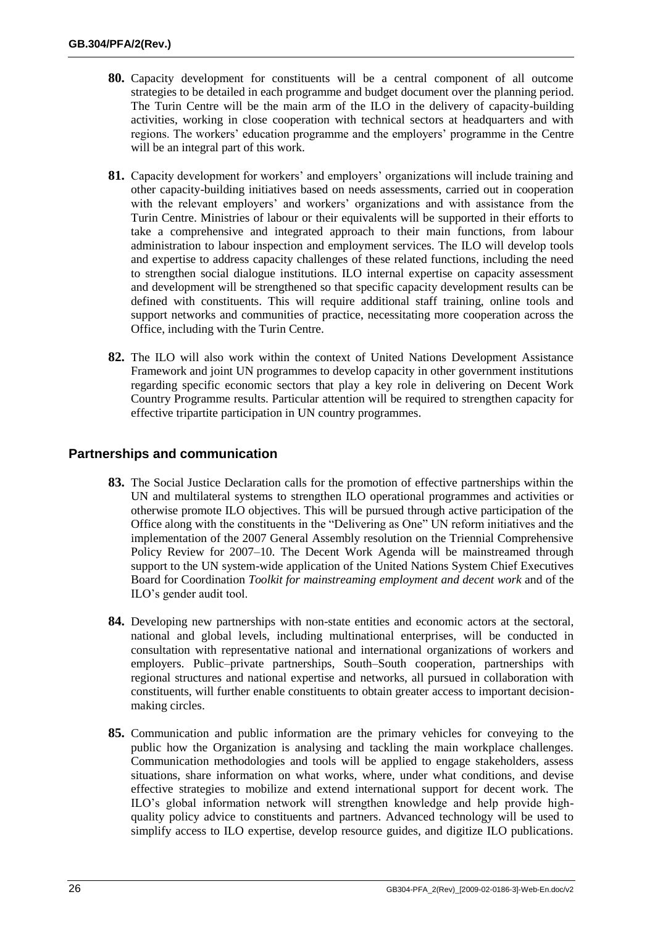- **80.** Capacity development for constituents will be a central component of all outcome strategies to be detailed in each programme and budget document over the planning period. The Turin Centre will be the main arm of the ILO in the delivery of capacity-building activities, working in close cooperation with technical sectors at headquarters and with regions. The workers' education programme and the employers' programme in the Centre will be an integral part of this work.
- **81.** Capacity development for workers' and employers' organizations will include training and other capacity-building initiatives based on needs assessments, carried out in cooperation with the relevant employers' and workers' organizations and with assistance from the Turin Centre. Ministries of labour or their equivalents will be supported in their efforts to take a comprehensive and integrated approach to their main functions, from labour administration to labour inspection and employment services. The ILO will develop tools and expertise to address capacity challenges of these related functions, including the need to strengthen social dialogue institutions. ILO internal expertise on capacity assessment and development will be strengthened so that specific capacity development results can be defined with constituents. This will require additional staff training, online tools and support networks and communities of practice, necessitating more cooperation across the Office, including with the Turin Centre.
- <span id="page-27-0"></span>**82.** The ILO will also work within the context of United Nations Development Assistance Framework and joint UN programmes to develop capacity in other government institutions regarding specific economic sectors that play a key role in delivering on Decent Work Country Programme results. Particular attention will be required to strengthen capacity for effective tripartite participation in UN country programmes.

#### **Partnerships and communication**

- **83.** The Social Justice Declaration calls for the promotion of effective partnerships within the UN and multilateral systems to strengthen ILO operational programmes and activities or otherwise promote ILO objectives. This will be pursued through active participation of the Office along with the constituents in the "Delivering as One" UN reform initiatives and the implementation of the 2007 General Assembly resolution on the Triennial Comprehensive Policy Review for 2007–10. The Decent Work Agenda will be mainstreamed through support to the UN system-wide application of the United Nations System Chief Executives Board for Coordination *Toolkit for mainstreaming employment and decent work* and of the ILO's gender audit tool.
- **84.** Developing new partnerships with non-state entities and economic actors at the sectoral, national and global levels, including multinational enterprises, will be conducted in consultation with representative national and international organizations of workers and employers. Public–private partnerships, South–South cooperation, partnerships with regional structures and national expertise and networks, all pursued in collaboration with constituents, will further enable constituents to obtain greater access to important decisionmaking circles.
- **85.** Communication and public information are the primary vehicles for conveying to the public how the Organization is analysing and tackling the main workplace challenges. Communication methodologies and tools will be applied to engage stakeholders, assess situations, share information on what works, where, under what conditions, and devise effective strategies to mobilize and extend international support for decent work. The ILO's global information network will strengthen knowledge and help provide highquality policy advice to constituents and partners. Advanced technology will be used to simplify access to ILO expertise, develop resource guides, and digitize ILO publications.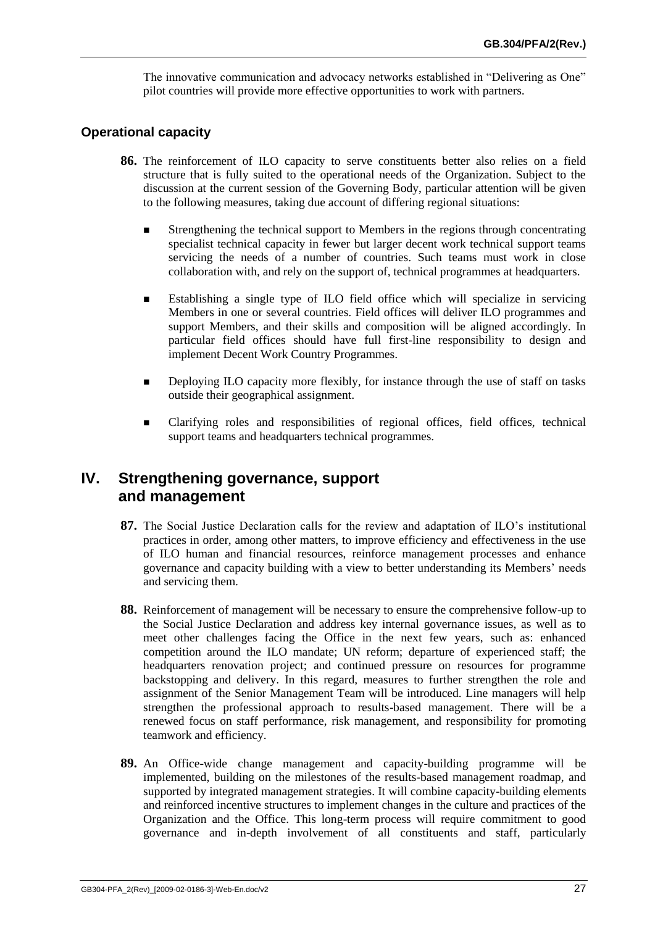The innovative communication and advocacy networks established in "Delivering as One" pilot countries will provide more effective opportunities to work with partners.

#### **Operational capacity**

- <span id="page-28-1"></span><span id="page-28-0"></span>**86.** The reinforcement of ILO capacity to serve constituents better also relies on a field structure that is fully suited to the operational needs of the Organization. Subject to the discussion at the current session of the Governing Body, particular attention will be given to the following measures, taking due account of differing regional situations:
	- Strengthening the technical support to Members in the regions through concentrating specialist technical capacity in fewer but larger decent work technical support teams servicing the needs of a number of countries. Such teams must work in close collaboration with, and rely on the support of, technical programmes at headquarters.
	- Establishing a single type of ILO field office which will specialize in servicing Members in one or several countries. Field offices will deliver ILO programmes and support Members, and their skills and composition will be aligned accordingly. In particular field offices should have full first-line responsibility to design and implement Decent Work Country Programmes.
	- Deploying ILO capacity more flexibly, for instance through the use of staff on tasks outside their geographical assignment.
	- Clarifying roles and responsibilities of regional offices, field offices, technical support teams and headquarters technical programmes.

## **IV. Strengthening governance, support and management**

- **87.** The Social Justice Declaration calls for the review and adaptation of ILO's institutional practices in order, among other matters, to improve efficiency and effectiveness in the use of ILO human and financial resources, reinforce management processes and enhance governance and capacity building with a view to better understanding its Members' needs and servicing them.
- **88.** Reinforcement of management will be necessary to ensure the comprehensive follow-up to the Social Justice Declaration and address key internal governance issues, as well as to meet other challenges facing the Office in the next few years, such as: enhanced competition around the ILO mandate; UN reform; departure of experienced staff; the headquarters renovation project; and continued pressure on resources for programme backstopping and delivery. In this regard, measures to further strengthen the role and assignment of the Senior Management Team will be introduced. Line managers will help strengthen the professional approach to results-based management. There will be a renewed focus on staff performance, risk management, and responsibility for promoting teamwork and efficiency.
- <span id="page-28-2"></span>**89.** An Office-wide change management and capacity-building programme will be implemented, building on the milestones of the results-based management roadmap, and supported by integrated management strategies. It will combine capacity-building elements and reinforced incentive structures to implement changes in the culture and practices of the Organization and the Office. This long-term process will require commitment to good governance and in-depth involvement of all constituents and staff, particularly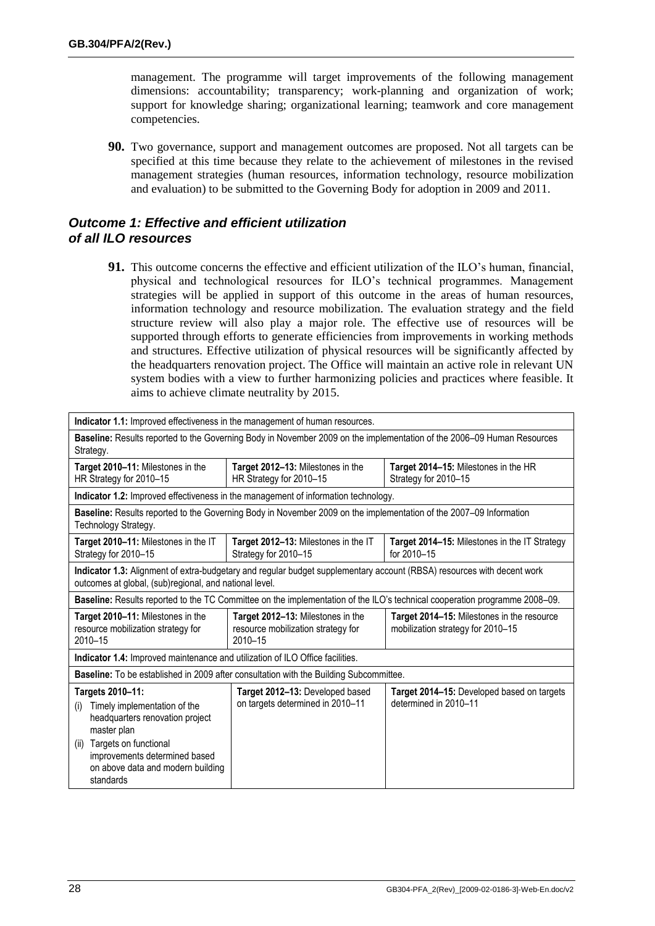management. The programme will target improvements of the following management dimensions: accountability; transparency; work-planning and organization of work; support for knowledge sharing; organizational learning; teamwork and core management competencies.

**90.** Two governance, support and management outcomes are proposed. Not all targets can be specified at this time because they relate to the achievement of milestones in the revised management strategies (human resources, information technology, resource mobilization and evaluation) to be submitted to the Governing Body for adoption in 2009 and 2011.

#### *Outcome 1: Effective and efficient utilization of all ILO resources*

**91.** This outcome concerns the effective and efficient utilization of the ILO's human, financial, physical and technological resources for ILO's technical programmes. Management strategies will be applied in support of this outcome in the areas of human resources, information technology and resource mobilization. The evaluation strategy and the field structure review will also play a major role. The effective use of resources will be supported through efforts to generate efficiencies from improvements in working methods and structures. Effective utilization of physical resources will be significantly affected by the headquarters renovation project. The Office will maintain an active role in relevant UN system bodies with a view to further harmonizing policies and practices where feasible. It aims to achieve climate neutrality by 2015.

<span id="page-29-0"></span>

| Indicator 1.1: Improved effectiveness in the management of human resources.                                                                                                                                                   |                                                                                                                    |                                                                                                                            |  |
|-------------------------------------------------------------------------------------------------------------------------------------------------------------------------------------------------------------------------------|--------------------------------------------------------------------------------------------------------------------|----------------------------------------------------------------------------------------------------------------------------|--|
| Baseline: Results reported to the Governing Body in November 2009 on the implementation of the 2006–09 Human Resources<br>Strategy.                                                                                           |                                                                                                                    |                                                                                                                            |  |
| Target 2010-11: Milestones in the<br>HR Strategy for 2010-15                                                                                                                                                                  | Target 2012-13: Milestones in the<br>HR Strategy for 2010-15                                                       | Target 2014-15: Milestones in the HR<br>Strategy for 2010-15                                                               |  |
|                                                                                                                                                                                                                               | Indicator 1.2: Improved effectiveness in the management of information technology.                                 |                                                                                                                            |  |
| Technology Strategy.                                                                                                                                                                                                          | Baseline: Results reported to the Governing Body in November 2009 on the implementation of the 2007-09 Information |                                                                                                                            |  |
| Target 2010–11: Milestones in the IT<br>Strategy for 2010-15                                                                                                                                                                  | Target 2012–13: Milestones in the IT<br>Strategy for 2010-15                                                       | <b>Target 2014–15:</b> Milestones in the IT Strategy<br>for 2010-15                                                        |  |
| Indicator 1.3: Alignment of extra-budgetary and regular budget supplementary account (RBSA) resources with decent work<br>outcomes at global, (sub)regional, and national level.                                              |                                                                                                                    |                                                                                                                            |  |
|                                                                                                                                                                                                                               |                                                                                                                    | Baseline: Results reported to the TC Committee on the implementation of the ILO's technical cooperation programme 2008–09. |  |
| Target 2010-11: Milestones in the<br>resource mobilization strategy for<br>2010-15                                                                                                                                            | Target 2012-13: Milestones in the<br>resource mobilization strategy for<br>2010-15                                 | Target 2014-15: Milestones in the resource<br>mobilization strategy for 2010-15                                            |  |
| Indicator 1.4: Improved maintenance and utilization of ILO Office facilities.                                                                                                                                                 |                                                                                                                    |                                                                                                                            |  |
| Baseline: To be established in 2009 after consultation with the Building Subcommittee.                                                                                                                                        |                                                                                                                    |                                                                                                                            |  |
| Targets 2010-11:<br>Timely implementation of the<br>(i)<br>headquarters renovation project<br>master plan<br>Targets on functional<br>(ii)<br>improvements determined based<br>on above data and modern building<br>standards | Target 2012-13: Developed based<br>on targets determined in 2010-11                                                | Target 2014-15: Developed based on targets<br>determined in 2010-11                                                        |  |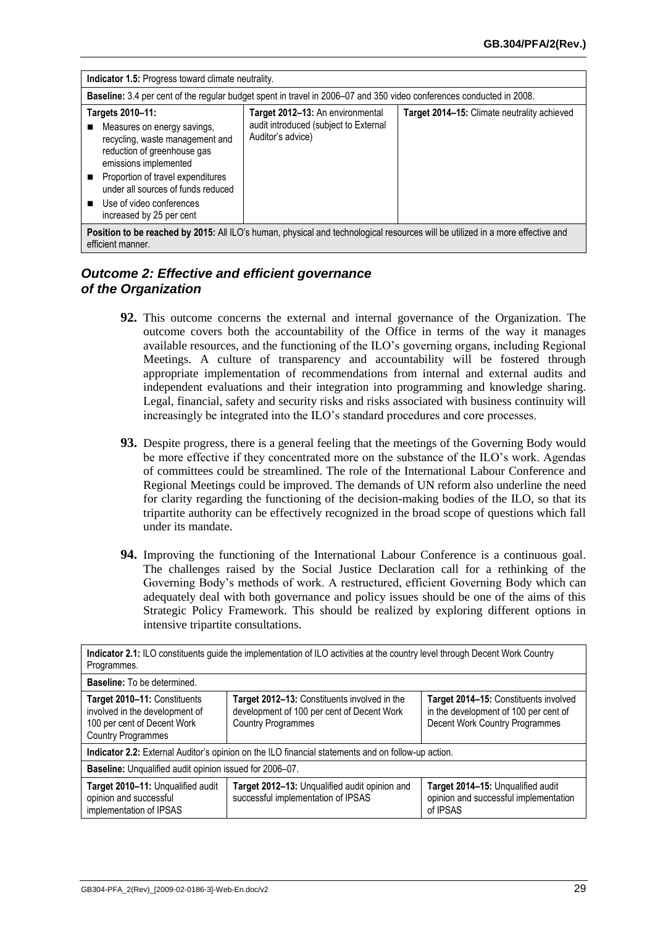<span id="page-30-0"></span>

| <b>Indicator 1.5:</b> Progress toward climate neutrality.                                                                                                                                                                                                                     |                                                                                                |                                             |  |
|-------------------------------------------------------------------------------------------------------------------------------------------------------------------------------------------------------------------------------------------------------------------------------|------------------------------------------------------------------------------------------------|---------------------------------------------|--|
| Baseline: 3.4 per cent of the regular budget spent in travel in 2006–07 and 350 video conferences conducted in 2008.                                                                                                                                                          |                                                                                                |                                             |  |
| Targets 2010-11:<br>Measures on energy savings,<br>recycling, waste management and<br>reduction of greenhouse gas<br>emissions implemented<br>Proportion of travel expenditures<br>under all sources of funds reduced<br>Use of video conferences<br>increased by 25 per cent | Target 2012-13: An environmental<br>audit introduced (subject to External<br>Auditor's advice) | Target 2014-15: Climate neutrality achieved |  |
| Position to be reached by 2015: All ILO's human, physical and technological resources will be utilized in a more effective and                                                                                                                                                |                                                                                                |                                             |  |

efficient manner.

#### *Outcome 2: Effective and efficient governance of the Organization*

- **92.** This outcome concerns the external and internal governance of the Organization. The outcome covers both the accountability of the Office in terms of the way it manages available resources, and the functioning of the ILO's governing organs, including Regional Meetings. A culture of transparency and accountability will be fostered through appropriate implementation of recommendations from internal and external audits and independent evaluations and their integration into programming and knowledge sharing. Legal, financial, safety and security risks and risks associated with business continuity will increasingly be integrated into the ILO's standard procedures and core processes.
- <span id="page-30-1"></span>**93.** Despite progress, there is a general feeling that the meetings of the Governing Body would be more effective if they concentrated more on the substance of the ILO's work. Agendas of committees could be streamlined. The role of the International Labour Conference and Regional Meetings could be improved. The demands of UN reform also underline the need for clarity regarding the functioning of the decision-making bodies of the ILO, so that its tripartite authority can be effectively recognized in the broad scope of questions which fall under its mandate.
- **94.** Improving the functioning of the International Labour Conference is a continuous goal. The challenges raised by the Social Justice Declaration call for a rethinking of the Governing Body's methods of work. A restructured, efficient Governing Body which can adequately deal with both governance and policy issues should be one of the aims of this Strategic Policy Framework. This should be realized by exploring different options in intensive tripartite consultations.

| Indicator 2.1: ILO constituents guide the implementation of ILO activities at the country level through Decent Work Country<br>Programmes. |                                                                                                                         |                                                                                                                  |  |  |  |  |
|--------------------------------------------------------------------------------------------------------------------------------------------|-------------------------------------------------------------------------------------------------------------------------|------------------------------------------------------------------------------------------------------------------|--|--|--|--|
| <b>Baseline:</b> To be determined.                                                                                                         |                                                                                                                         |                                                                                                                  |  |  |  |  |
| Target 2010-11: Constituents<br>involved in the development of<br>100 per cent of Decent Work<br><b>Country Programmes</b>                 | Target 2012-13: Constituents involved in the<br>development of 100 per cent of Decent Work<br><b>Country Programmes</b> | Target 2014-15: Constituents involved<br>in the development of 100 per cent of<br>Decent Work Country Programmes |  |  |  |  |
| Indicator 2.2: External Auditor's opinion on the ILO financial statements and on follow-up action.                                         |                                                                                                                         |                                                                                                                  |  |  |  |  |
| Baseline: Unqualified audit opinion issued for 2006-07.                                                                                    |                                                                                                                         |                                                                                                                  |  |  |  |  |
| Target 2010-11: Unqualified audit<br>opinion and successful<br>implementation of IPSAS                                                     | Target 2012-13: Unqualified audit opinion and<br>successful implementation of IPSAS                                     | Target 2014-15: Unqualified audit<br>opinion and successful implementation<br>of IPSAS                           |  |  |  |  |

**Indicator 2.1:** ILO constituents guide the implementation of ILO activities at the country level through Decent Work Country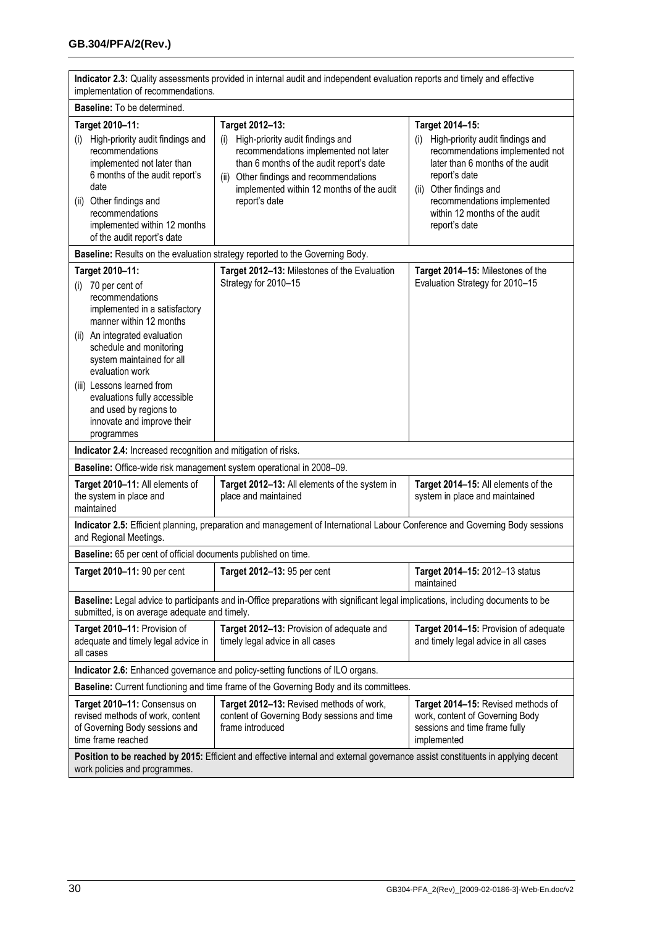| Indicator 2.3: Quality assessments provided in internal audit and independent evaluation reports and timely and effective<br>implementation of recommendations.                                                                                                      |                                                                                                                                                                                                                                                             |                                                                                                                                                                                                                                                                   |  |  |  |  |
|----------------------------------------------------------------------------------------------------------------------------------------------------------------------------------------------------------------------------------------------------------------------|-------------------------------------------------------------------------------------------------------------------------------------------------------------------------------------------------------------------------------------------------------------|-------------------------------------------------------------------------------------------------------------------------------------------------------------------------------------------------------------------------------------------------------------------|--|--|--|--|
| Baseline: To be determined.                                                                                                                                                                                                                                          |                                                                                                                                                                                                                                                             |                                                                                                                                                                                                                                                                   |  |  |  |  |
| Target 2010-11:<br>High-priority audit findings and<br>(i)<br>recommendations<br>implemented not later than<br>6 months of the audit report's<br>date<br>Other findings and<br>(ii)<br>recommendations<br>implemented within 12 months<br>of the audit report's date | Target 2012-13:<br>High-priority audit findings and<br>(i)<br>recommendations implemented not later<br>than 6 months of the audit report's date<br>Other findings and recommendations<br>(ii)<br>implemented within 12 months of the audit<br>report's date | Target 2014-15:<br>High-priority audit findings and<br>(i)<br>recommendations implemented not<br>later than 6 months of the audit<br>report's date<br>Other findings and<br>(ii)<br>recommendations implemented<br>within 12 months of the audit<br>report's date |  |  |  |  |
| Baseline: Results on the evaluation strategy reported to the Governing Body.                                                                                                                                                                                         |                                                                                                                                                                                                                                                             |                                                                                                                                                                                                                                                                   |  |  |  |  |
| Target 2010-11:<br>(i) 70 per cent of<br>recommendations<br>implemented in a satisfactory<br>manner within 12 months                                                                                                                                                 | Target 2012-13: Milestones of the Evaluation<br>Strategy for 2010-15                                                                                                                                                                                        | Target 2014-15: Milestones of the<br>Evaluation Strategy for 2010-15                                                                                                                                                                                              |  |  |  |  |
| (ii) An integrated evaluation<br>schedule and monitoring<br>system maintained for all<br>evaluation work<br>(iii) Lessons learned from<br>evaluations fully accessible<br>and used by regions to<br>innovate and improve their<br>programmes                         |                                                                                                                                                                                                                                                             |                                                                                                                                                                                                                                                                   |  |  |  |  |
| Indicator 2.4: Increased recognition and mitigation of risks.                                                                                                                                                                                                        |                                                                                                                                                                                                                                                             |                                                                                                                                                                                                                                                                   |  |  |  |  |
| Baseline: Office-wide risk management system operational in 2008-09.                                                                                                                                                                                                 |                                                                                                                                                                                                                                                             |                                                                                                                                                                                                                                                                   |  |  |  |  |
| Target 2010-11: All elements of<br>the system in place and<br>maintained                                                                                                                                                                                             | Target 2012-13: All elements of the system in<br>place and maintained                                                                                                                                                                                       | Target 2014-15: All elements of the<br>system in place and maintained                                                                                                                                                                                             |  |  |  |  |
| Indicator 2.5: Efficient planning, preparation and management of International Labour Conference and Governing Body sessions<br>and Regional Meetings.                                                                                                               |                                                                                                                                                                                                                                                             |                                                                                                                                                                                                                                                                   |  |  |  |  |
| Baseline: 65 per cent of official documents published on time.                                                                                                                                                                                                       |                                                                                                                                                                                                                                                             |                                                                                                                                                                                                                                                                   |  |  |  |  |
| Target 2010-11: 90 per cent                                                                                                                                                                                                                                          | Target 2012-13: 95 per cent                                                                                                                                                                                                                                 | Target 2014-15: 2012-13 status<br>maintained                                                                                                                                                                                                                      |  |  |  |  |
| Baseline: Legal advice to participants and in-Office preparations with significant legal implications, including documents to be<br>submitted, is on average adequate and timely.                                                                                    |                                                                                                                                                                                                                                                             |                                                                                                                                                                                                                                                                   |  |  |  |  |
| Target 2010-11: Provision of<br>adequate and timely legal advice in<br>all cases                                                                                                                                                                                     | Target 2012-13: Provision of adequate and<br>timely legal advice in all cases                                                                                                                                                                               | Target 2014-15: Provision of adequate<br>and timely legal advice in all cases                                                                                                                                                                                     |  |  |  |  |
|                                                                                                                                                                                                                                                                      | Indicator 2.6: Enhanced governance and policy-setting functions of ILO organs.                                                                                                                                                                              |                                                                                                                                                                                                                                                                   |  |  |  |  |
| Baseline: Current functioning and time frame of the Governing Body and its committees.                                                                                                                                                                               |                                                                                                                                                                                                                                                             |                                                                                                                                                                                                                                                                   |  |  |  |  |
| Target 2010-11: Consensus on<br>revised methods of work, content<br>of Governing Body sessions and<br>time frame reached                                                                                                                                             | Target 2012-13: Revised methods of work,<br>content of Governing Body sessions and time<br>frame introduced                                                                                                                                                 | Target 2014-15: Revised methods of<br>work, content of Governing Body<br>sessions and time frame fully<br>implemented                                                                                                                                             |  |  |  |  |
| Position to be reached by 2015: Efficient and effective internal and external governance assist constituents in applying decent<br>work policies and programmes.                                                                                                     |                                                                                                                                                                                                                                                             |                                                                                                                                                                                                                                                                   |  |  |  |  |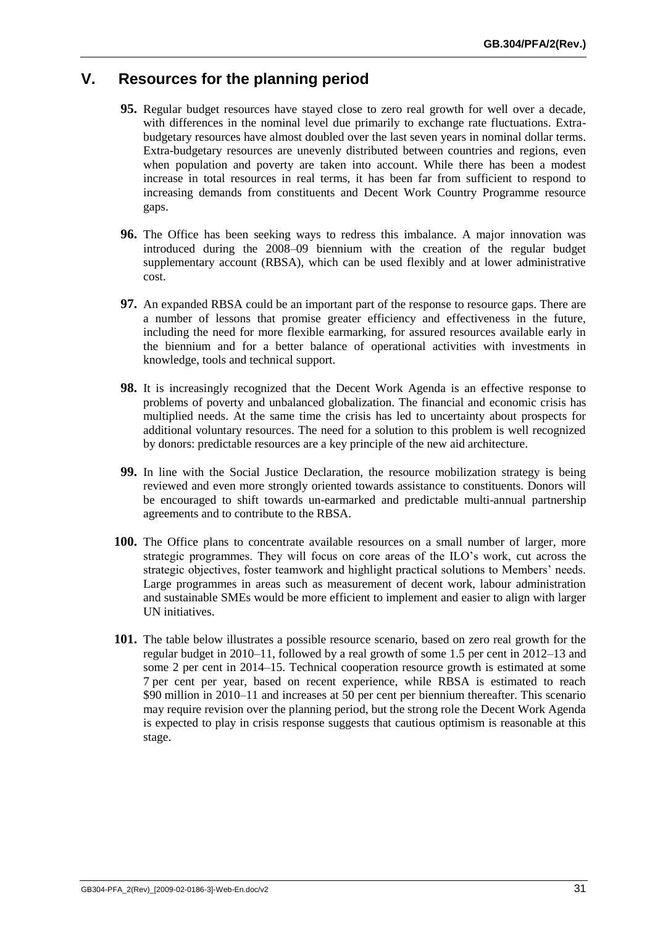# **V. Resources for the planning period**

- **95.** Regular budget resources have stayed close to zero real growth for well over a decade, with differences in the nominal level due primarily to exchange rate fluctuations. Extrabudgetary resources have almost doubled over the last seven years in nominal dollar terms. Extra-budgetary resources are unevenly distributed between countries and regions, even when population and poverty are taken into account. While there has been a modest increase in total resources in real terms, it has been far from sufficient to respond to increasing demands from constituents and Decent Work Country Programme resource gaps.
- **96.** The Office has been seeking ways to redress this imbalance. A major innovation was introduced during the 2008–09 biennium with the creation of the regular budget supplementary account (RBSA), which can be used flexibly and at lower administrative cost.
- **97.** An expanded RBSA could be an important part of the response to resource gaps. There are a number of lessons that promise greater efficiency and effectiveness in the future, including the need for more flexible earmarking, for assured resources available early in the biennium and for a better balance of operational activities with investments in knowledge, tools and technical support.
- **98.** It is increasingly recognized that the Decent Work Agenda is an effective response to problems of poverty and unbalanced globalization. The financial and economic crisis has multiplied needs. At the same time the crisis has led to uncertainty about prospects for additional voluntary resources. The need for a solution to this problem is well recognized by donors: predictable resources are a key principle of the new aid architecture.
- **99.** In line with the Social Justice Declaration, the resource mobilization strategy is being reviewed and even more strongly oriented towards assistance to constituents. Donors will be encouraged to shift towards un-earmarked and predictable multi-annual partnership agreements and to contribute to the RBSA.
- **100.** The Office plans to concentrate available resources on a small number of larger, more strategic programmes. They will focus on core areas of the ILO's work, cut across the strategic objectives, foster teamwork and highlight practical solutions to Members' needs. Large programmes in areas such as measurement of decent work, labour administration and sustainable SMEs would be more efficient to implement and easier to align with larger UN initiatives.
- **101.** The table below illustrates a possible resource scenario, based on zero real growth for the regular budget in 2010–11, followed by a real growth of some 1.5 per cent in 2012–13 and some 2 per cent in 2014–15. Technical cooperation resource growth is estimated at some 7 per cent per year, based on recent experience, while RBSA is estimated to reach \$90 million in 2010–11 and increases at 50 per cent per biennium thereafter. This scenario may require revision over the planning period, but the strong role the Decent Work Agenda is expected to play in crisis response suggests that cautious optimism is reasonable at this stage.